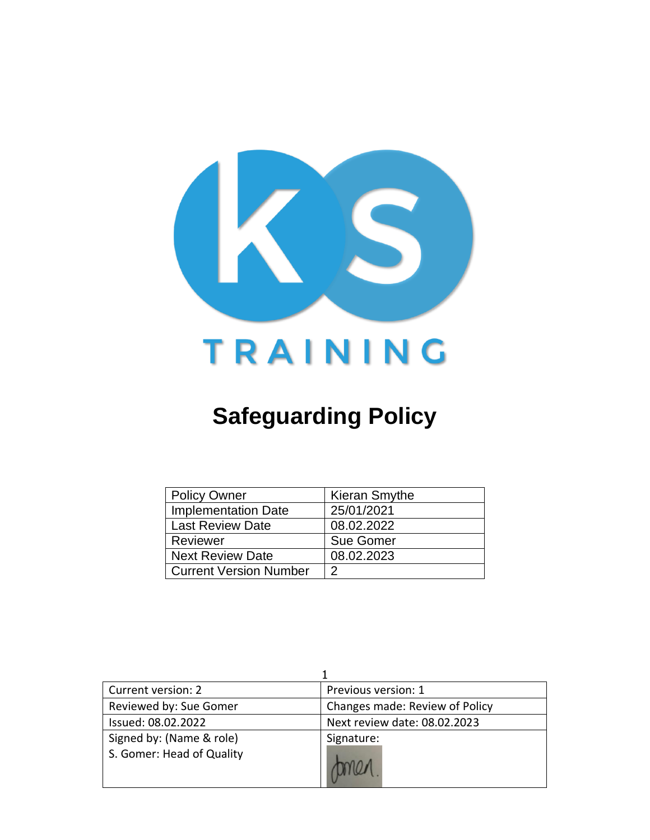

# **Safeguarding Policy**

| Policy Owner               | Kieran Smythe    |
|----------------------------|------------------|
| <b>Implementation Date</b> | 25/01/2021       |
| <b>Last Review Date</b>    | 08.02.2022       |
| Reviewer                   | <b>Sue Gomer</b> |
| <b>Next Review Date</b>    | 08.02.2023       |
| l Current Version Number   | າ                |

| Current version: 2                                    | Previous version: 1            |
|-------------------------------------------------------|--------------------------------|
| Reviewed by: Sue Gomer                                | Changes made: Review of Policy |
| Issued: 08.02.2022                                    | Next review date: 08.02.2023   |
| Signed by: (Name & role)<br>S. Gomer: Head of Quality | Signature:                     |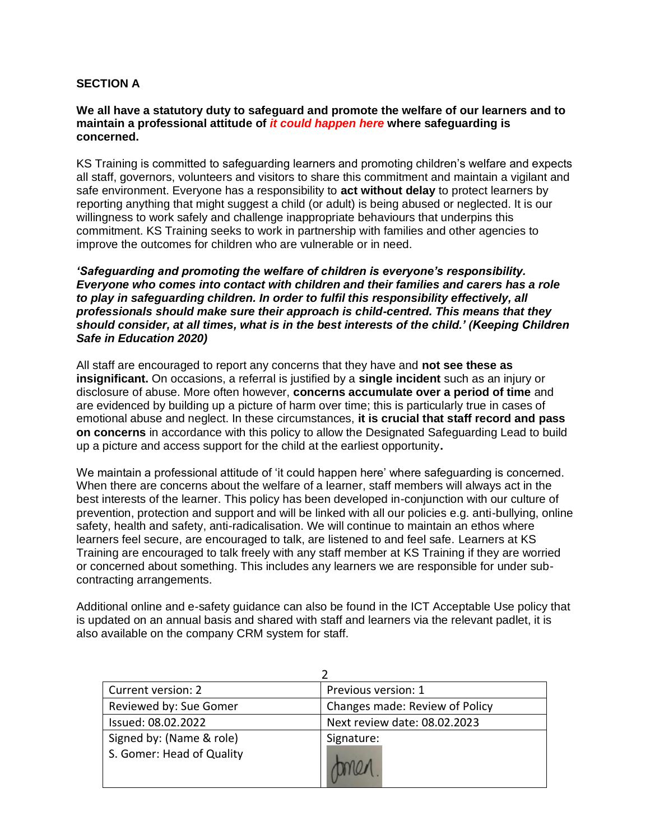# **SECTION A**

#### **We all have a statutory duty to safeguard and promote the welfare of our learners and to maintain a professional attitude of** *it could happen here* **where safeguarding is concerned.**

KS Training is committed to safeguarding learners and promoting children's welfare and expects all staff, governors, volunteers and visitors to share this commitment and maintain a vigilant and safe environment. Everyone has a responsibility to **act without delay** to protect learners by reporting anything that might suggest a child (or adult) is being abused or neglected. It is our willingness to work safely and challenge inappropriate behaviours that underpins this commitment. KS Training seeks to work in partnership with families and other agencies to improve the outcomes for children who are vulnerable or in need.

*'Safeguarding and promoting the welfare of children is everyone's responsibility. Everyone who comes into contact with children and their families and carers has a role to play in safeguarding children. In order to fulfil this responsibility effectively, all professionals should make sure their approach is child-centred. This means that they should consider, at all times, what is in the best interests of the child.' (Keeping Children Safe in Education 2020)* 

All staff are encouraged to report any concerns that they have and **not see these as insignificant.** On occasions, a referral is justified by a **single incident** such as an injury or disclosure of abuse. More often however, **concerns accumulate over a period of time** and are evidenced by building up a picture of harm over time; this is particularly true in cases of emotional abuse and neglect. In these circumstances, **it is crucial that staff record and pass on concerns** in accordance with this policy to allow the Designated Safeguarding Lead to build up a picture and access support for the child at the earliest opportunity**.**

We maintain a professional attitude of 'it could happen here' where safeguarding is concerned. When there are concerns about the welfare of a learner, staff members will always act in the best interests of the learner. This policy has been developed in-conjunction with our culture of prevention, protection and support and will be linked with all our policies e.g. anti-bullying, online safety, health and safety, anti-radicalisation. We will continue to maintain an ethos where learners feel secure, are encouraged to talk, are listened to and feel safe. Learners at KS Training are encouraged to talk freely with any staff member at KS Training if they are worried or concerned about something. This includes any learners we are responsible for under subcontracting arrangements.

Additional online and e-safety guidance can also be found in the ICT Acceptable Use policy that is updated on an annual basis and shared with staff and learners via the relevant padlet, it is also available on the company CRM system for staff.

| Current version: 2                                    | Previous version: 1            |
|-------------------------------------------------------|--------------------------------|
| Reviewed by: Sue Gomer                                | Changes made: Review of Policy |
| Issued: 08.02.2022                                    | Next review date: 08.02.2023   |
| Signed by: (Name & role)<br>S. Gomer: Head of Quality | Signature:                     |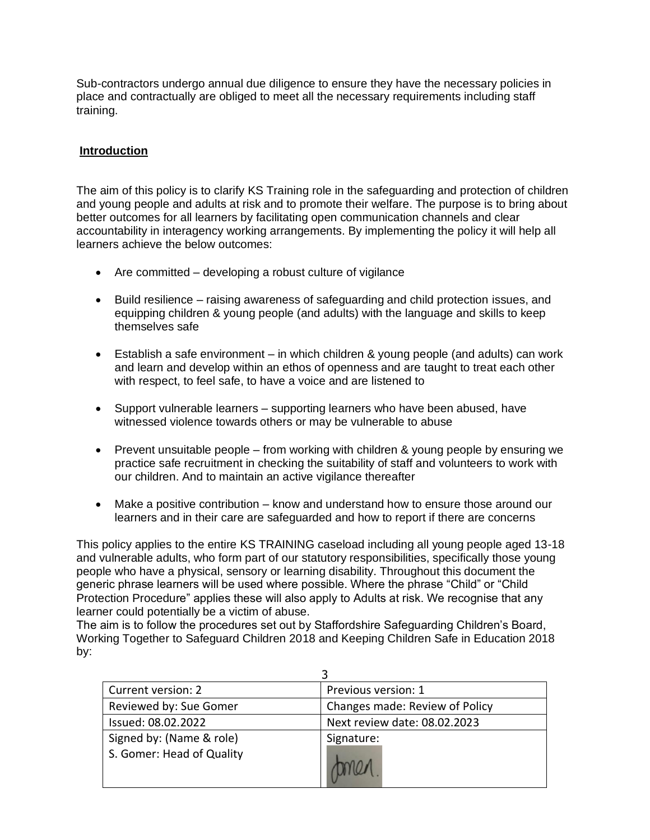Sub-contractors undergo annual due diligence to ensure they have the necessary policies in place and contractually are obliged to meet all the necessary requirements including staff training.

# **Introduction**

The aim of this policy is to clarify KS Training role in the safeguarding and protection of children and young people and adults at risk and to promote their welfare. The purpose is to bring about better outcomes for all learners by facilitating open communication channels and clear accountability in interagency working arrangements. By implementing the policy it will help all learners achieve the below outcomes:

- Are committed developing a robust culture of vigilance
- Build resilience raising awareness of safeguarding and child protection issues, and equipping children & young people (and adults) with the language and skills to keep themselves safe
- Establish a safe environment in which children & young people (and adults) can work and learn and develop within an ethos of openness and are taught to treat each other with respect, to feel safe, to have a voice and are listened to
- Support vulnerable learners supporting learners who have been abused, have witnessed violence towards others or may be vulnerable to abuse
- Prevent unsuitable people from working with children & young people by ensuring we practice safe recruitment in checking the suitability of staff and volunteers to work with our children. And to maintain an active vigilance thereafter
- Make a positive contribution know and understand how to ensure those around our learners and in their care are safeguarded and how to report if there are concerns

This policy applies to the entire KS TRAINING caseload including all young people aged 13-18 and vulnerable adults, who form part of our statutory responsibilities, specifically those young people who have a physical, sensory or learning disability. Throughout this document the generic phrase learners will be used where possible. Where the phrase "Child" or "Child Protection Procedure" applies these will also apply to Adults at risk. We recognise that any learner could potentially be a victim of abuse.

The aim is to follow the procedures set out by Staffordshire Safeguarding Children's Board, Working Together to Safeguard Children 2018 and Keeping Children Safe in Education 2018 by:

| Current version: 2                                    | Previous version: 1            |
|-------------------------------------------------------|--------------------------------|
| Reviewed by: Sue Gomer                                | Changes made: Review of Policy |
| Issued: 08.02.2022                                    | Next review date: 08.02.2023   |
| Signed by: (Name & role)<br>S. Gomer: Head of Quality | Signature:                     |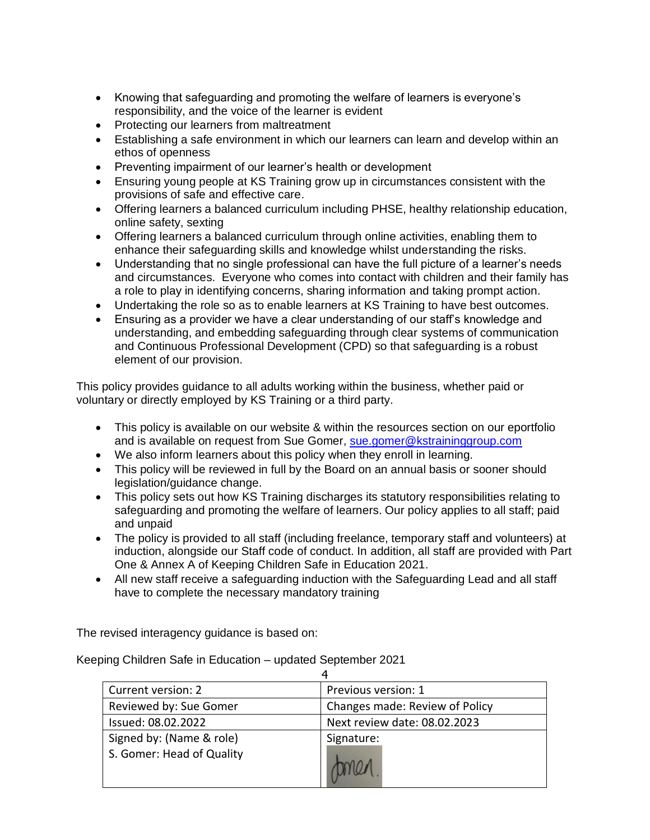- Knowing that safeguarding and promoting the welfare of learners is everyone's responsibility, and the voice of the learner is evident
- Protecting our learners from maltreatment
- Establishing a safe environment in which our learners can learn and develop within an ethos of openness
- Preventing impairment of our learner's health or development
- Ensuring young people at KS Training grow up in circumstances consistent with the provisions of safe and effective care.
- Offering learners a balanced curriculum including PHSE, healthy relationship education, online safety, sexting
- Offering learners a balanced curriculum through online activities, enabling them to enhance their safeguarding skills and knowledge whilst understanding the risks.
- Understanding that no single professional can have the full picture of a learner's needs and circumstances. Everyone who comes into contact with children and their family has a role to play in identifying concerns, sharing information and taking prompt action.
- Undertaking the role so as to enable learners at KS Training to have best outcomes.
- Ensuring as a provider we have a clear understanding of our staff's knowledge and understanding, and embedding safeguarding through clear systems of communication and Continuous Professional Development (CPD) so that safeguarding is a robust element of our provision.

This policy provides guidance to all adults working within the business, whether paid or voluntary or directly employed by KS Training or a third party.

- This policy is available on our website & within the resources section on our eportfolio and is available on request from Sue Gomer, [sue.gomer@kstraininggroup.com](mailto:sue.gomer@kstraininggroup.com)
- We also inform learners about this policy when they enroll in learning.
- This policy will be reviewed in full by the Board on an annual basis or sooner should legislation/guidance change.
- This policy sets out how KS Training discharges its statutory responsibilities relating to safeguarding and promoting the welfare of learners. Our policy applies to all staff; paid and unpaid
- The policy is provided to all staff (including freelance, temporary staff and volunteers) at induction, alongside our Staff code of conduct. In addition, all staff are provided with Part One & Annex A of Keeping Children Safe in Education 2021.
- All new staff receive a safeguarding induction with the Safeguarding Lead and all staff have to complete the necessary mandatory training

The revised interagency guidance is based on:

Keeping Children Safe in Education – updated September 2021

| Current version: 2                                    | Previous version: 1            |
|-------------------------------------------------------|--------------------------------|
| Reviewed by: Sue Gomer                                | Changes made: Review of Policy |
| Issued: 08.02.2022                                    | Next review date: 08.02.2023   |
| Signed by: (Name & role)<br>S. Gomer: Head of Quality | Signature:                     |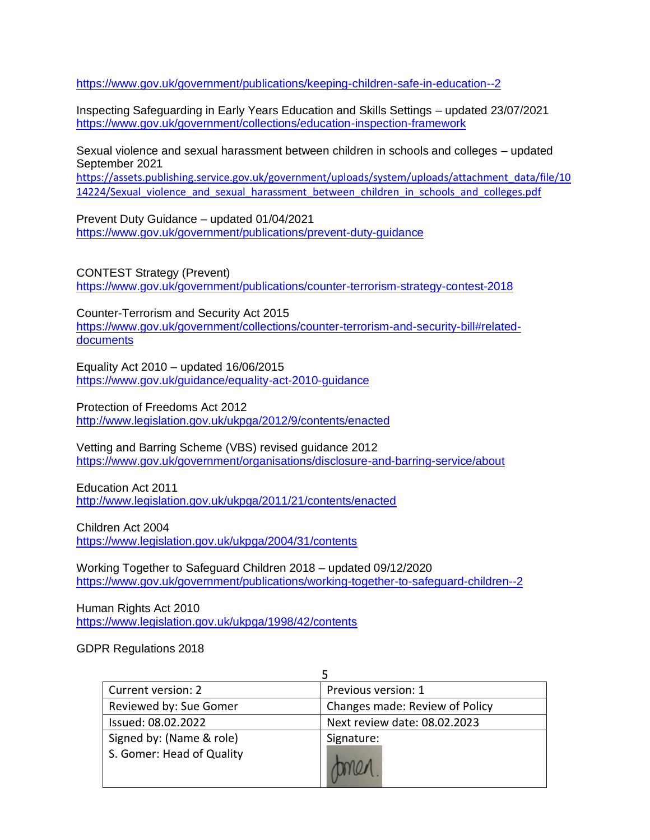<https://www.gov.uk/government/publications/keeping-children-safe-in-education--2>

Inspecting Safeguarding in Early Years Education and Skills Settings – updated 23/07/2021 <https://www.gov.uk/government/collections/education-inspection-framework>

Sexual violence and sexual harassment between children in schools and colleges – updated September 2021

[https://assets.publishing.service.gov.uk/government/uploads/system/uploads/attachment\\_data/file/10](https://assets.publishing.service.gov.uk/government/uploads/system/uploads/attachment_data/file/1014224/Sexual_violence_and_sexual_harassment_between_children_in_schools_and_colleges.pdf) [14224/Sexual\\_violence\\_and\\_sexual\\_harassment\\_between\\_children\\_in\\_schools\\_and\\_colleges.pdf](https://assets.publishing.service.gov.uk/government/uploads/system/uploads/attachment_data/file/1014224/Sexual_violence_and_sexual_harassment_between_children_in_schools_and_colleges.pdf)

Prevent Duty Guidance – updated 01/04/2021 <https://www.gov.uk/government/publications/prevent-duty-guidance>

CONTEST Strategy (Prevent) <https://www.gov.uk/government/publications/counter-terrorism-strategy-contest-2018>

Counter-Terrorism and Security Act 2015 [https://www.gov.uk/government/collections/counter-terrorism-and-security-bill#related](https://www.gov.uk/government/collections/counter-terrorism-and-security-bill#related-documents)[documents](https://www.gov.uk/government/collections/counter-terrorism-and-security-bill#related-documents)

Equality Act 2010 – updated 16/06/2015 <https://www.gov.uk/guidance/equality-act-2010-guidance>

Protection of Freedoms Act 2012 <http://www.legislation.gov.uk/ukpga/2012/9/contents/enacted>

Vetting and Barring Scheme (VBS) revised guidance 2012 <https://www.gov.uk/government/organisations/disclosure-and-barring-service/about>

Education Act 2011 <http://www.legislation.gov.uk/ukpga/2011/21/contents/enacted>

Children Act 2004 <https://www.legislation.gov.uk/ukpga/2004/31/contents>

Working Together to Safeguard Children 2018 – updated 09/12/2020 <https://www.gov.uk/government/publications/working-together-to-safeguard-children--2>

Human Rights Act 2010 <https://www.legislation.gov.uk/ukpga/1998/42/contents>

GDPR Regulations 2018

| Current version: 2        | Previous version: 1            |
|---------------------------|--------------------------------|
| Reviewed by: Sue Gomer    | Changes made: Review of Policy |
| Issued: 08.02.2022        | Next review date: 08.02.2023   |
| Signed by: (Name & role)  | Signature:                     |
| S. Gomer: Head of Quality |                                |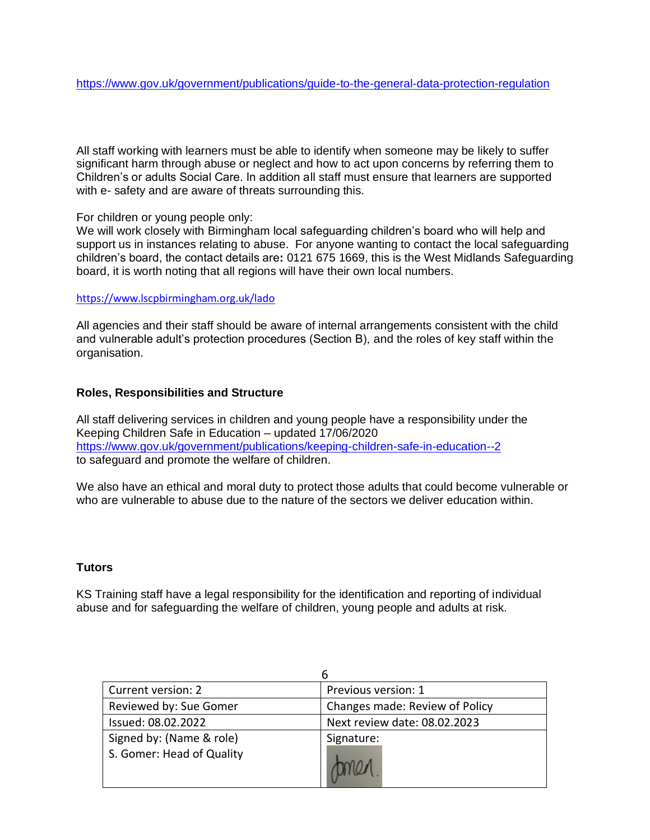All staff working with learners must be able to identify when someone may be likely to suffer significant harm through abuse or neglect and how to act upon concerns by referring them to Children's or adults Social Care. In addition all staff must ensure that learners are supported with e- safety and are aware of threats surrounding this.

#### For children or young people only:

We will work closely with Birmingham local safeguarding children's board who will help and support us in instances relating to abuse. For anyone wanting to contact the local safeguarding children's board, the contact details are**:** 0121 675 1669, this is the West Midlands Safeguarding board, it is worth noting that all regions will have their own local numbers.

#### <https://www.lscpbirmingham.org.uk/lado>

All agencies and their staff should be aware of internal arrangements consistent with the child and vulnerable adult's protection procedures (Section B), and the roles of key staff within the organisation.

# **Roles, Responsibilities and Structure**

All staff delivering services in children and young people have a responsibility under the Keeping Children Safe in Education – updated 17/06/2020 <https://www.gov.uk/government/publications/keeping-children-safe-in-education--2> to safeguard and promote the welfare of children.

We also have an ethical and moral duty to protect those adults that could become vulnerable or who are vulnerable to abuse due to the nature of the sectors we deliver education within.

# **Tutors**

KS Training staff have a legal responsibility for the identification and reporting of individual abuse and for safeguarding the welfare of children, young people and adults at risk.

| Current version: 2        | Previous version: 1            |
|---------------------------|--------------------------------|
| Reviewed by: Sue Gomer    | Changes made: Review of Policy |
| Issued: 08.02.2022        | Next review date: 08.02.2023   |
| Signed by: (Name & role)  | Signature:                     |
| S. Gomer: Head of Quality |                                |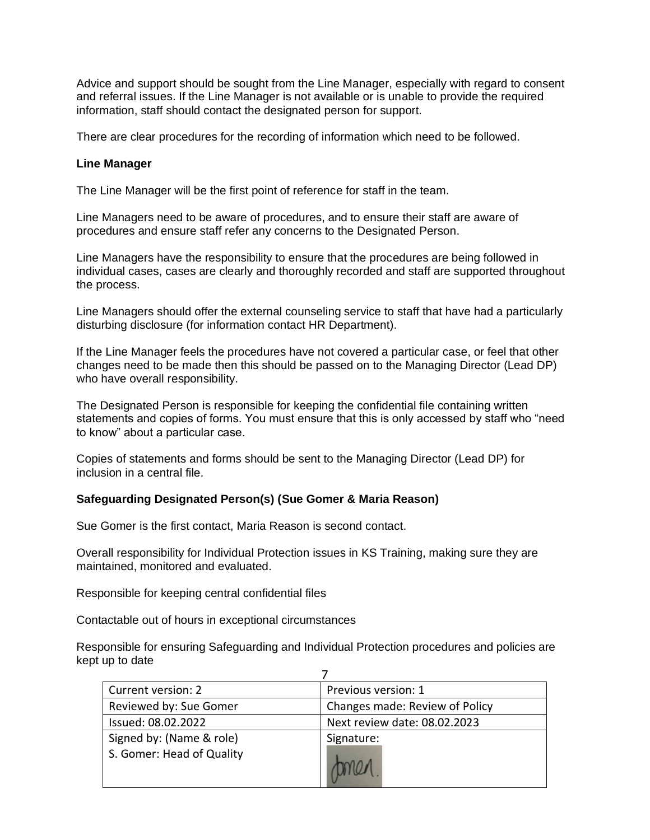Advice and support should be sought from the Line Manager, especially with regard to consent and referral issues. If the Line Manager is not available or is unable to provide the required information, staff should contact the designated person for support.

There are clear procedures for the recording of information which need to be followed.

#### **Line Manager**

The Line Manager will be the first point of reference for staff in the team.

Line Managers need to be aware of procedures, and to ensure their staff are aware of procedures and ensure staff refer any concerns to the Designated Person.

Line Managers have the responsibility to ensure that the procedures are being followed in individual cases, cases are clearly and thoroughly recorded and staff are supported throughout the process.

Line Managers should offer the external counseling service to staff that have had a particularly disturbing disclosure (for information contact HR Department).

If the Line Manager feels the procedures have not covered a particular case, or feel that other changes need to be made then this should be passed on to the Managing Director (Lead DP) who have overall responsibility.

The Designated Person is responsible for keeping the confidential file containing written statements and copies of forms. You must ensure that this is only accessed by staff who "need to know" about a particular case.

Copies of statements and forms should be sent to the Managing Director (Lead DP) for inclusion in a central file.

# **Safeguarding Designated Person(s) (Sue Gomer & Maria Reason)**

Sue Gomer is the first contact, Maria Reason is second contact.

Overall responsibility for Individual Protection issues in KS Training, making sure they are maintained, monitored and evaluated.

Responsible for keeping central confidential files

Contactable out of hours in exceptional circumstances

Responsible for ensuring Safeguarding and Individual Protection procedures and policies are kept up to date

| Current version: 2        | Previous version: 1            |
|---------------------------|--------------------------------|
| Reviewed by: Sue Gomer    | Changes made: Review of Policy |
| Issued: 08.02.2022        | Next review date: 08.02.2023   |
| Signed by: (Name & role)  | Signature:                     |
| S. Gomer: Head of Quality |                                |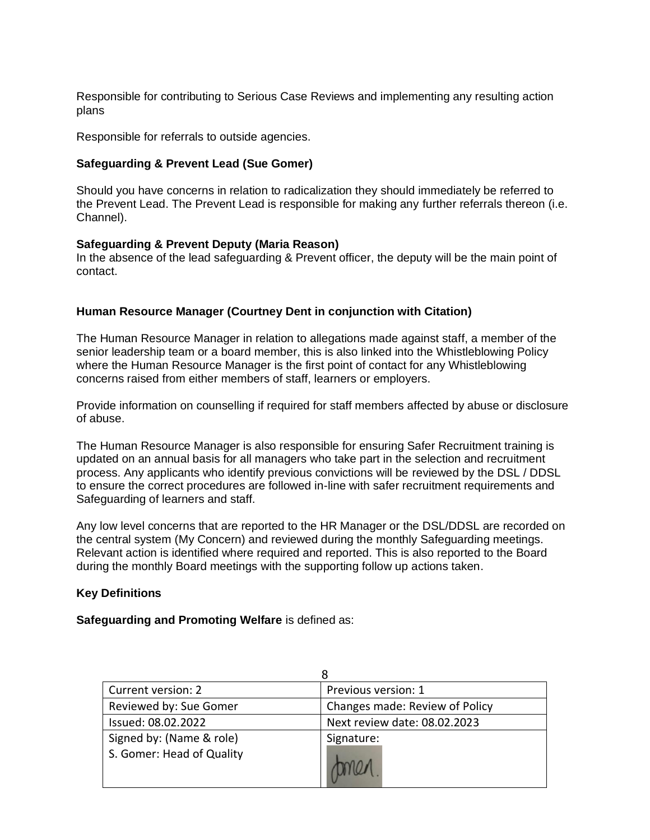Responsible for contributing to Serious Case Reviews and implementing any resulting action plans

Responsible for referrals to outside agencies.

### **Safeguarding & Prevent Lead (Sue Gomer)**

Should you have concerns in relation to radicalization they should immediately be referred to the Prevent Lead. The Prevent Lead is responsible for making any further referrals thereon (i.e. Channel).

#### **Safeguarding & Prevent Deputy (Maria Reason)**

In the absence of the lead safeguarding & Prevent officer, the deputy will be the main point of contact.

#### **Human Resource Manager (Courtney Dent in conjunction with Citation)**

The Human Resource Manager in relation to allegations made against staff, a member of the senior leadership team or a board member, this is also linked into the Whistleblowing Policy where the Human Resource Manager is the first point of contact for any Whistleblowing concerns raised from either members of staff, learners or employers.

Provide information on counselling if required for staff members affected by abuse or disclosure of abuse.

The Human Resource Manager is also responsible for ensuring Safer Recruitment training is updated on an annual basis for all managers who take part in the selection and recruitment process. Any applicants who identify previous convictions will be reviewed by the DSL / DDSL to ensure the correct procedures are followed in-line with safer recruitment requirements and Safeguarding of learners and staff.

Any low level concerns that are reported to the HR Manager or the DSL/DDSL are recorded on the central system (My Concern) and reviewed during the monthly Safeguarding meetings. Relevant action is identified where required and reported. This is also reported to the Board during the monthly Board meetings with the supporting follow up actions taken.

# **Key Definitions**

#### **Safeguarding and Promoting Welfare** is defined as:

| Current version: 2        | Previous version: 1            |
|---------------------------|--------------------------------|
| Reviewed by: Sue Gomer    | Changes made: Review of Policy |
| Issued: 08.02.2022        | Next review date: 08.02.2023   |
| Signed by: (Name & role)  | Signature:                     |
| S. Gomer: Head of Quality |                                |
|                           |                                |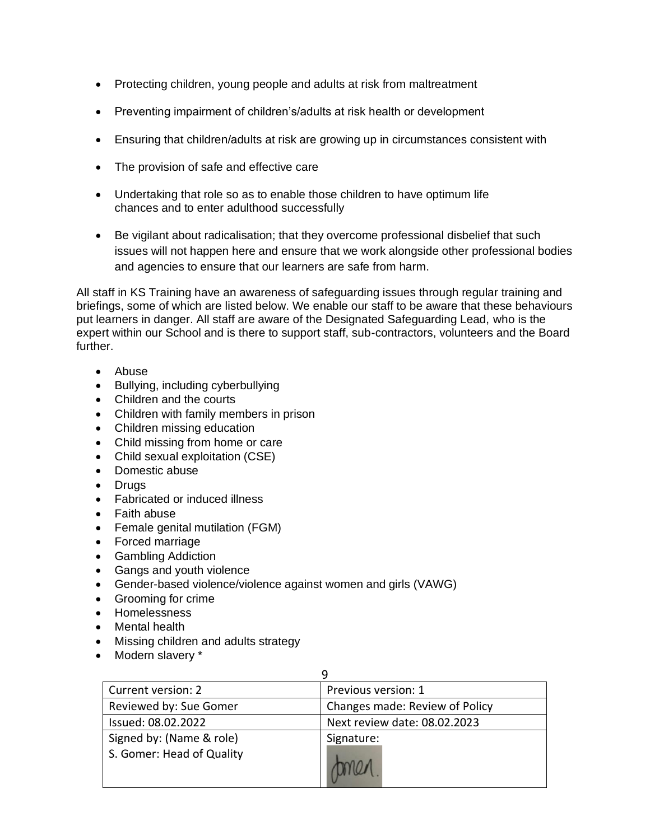- Protecting children, young people and adults at risk from maltreatment
- Preventing impairment of children's/adults at risk health or development
- Ensuring that children/adults at risk are growing up in circumstances consistent with
- The provision of safe and effective care
- Undertaking that role so as to enable those children to have optimum life chances and to enter adulthood successfully
- Be vigilant about radicalisation; that they overcome professional disbelief that such issues will not happen here and ensure that we work alongside other professional bodies and agencies to ensure that our learners are safe from harm.

All staff in KS Training have an awareness of safeguarding issues through regular training and briefings, some of which are listed below. We enable our staff to be aware that these behaviours put learners in danger. All staff are aware of the Designated Safeguarding Lead, who is the expert within our School and is there to support staff, sub-contractors, volunteers and the Board further.

- Abuse
- Bullying, including cyberbullying
- Children and the courts
- Children with family members in prison
- Children missing education
- Child missing from home or care
- Child sexual exploitation (CSE)
- Domestic abuse
- Drugs
- Fabricated or induced illness
- Faith abuse
- Female genital mutilation (FGM)
- Forced marriage
- Gambling Addiction
- Gangs and youth violence
- Gender-based violence/violence against women and girls (VAWG)
- Grooming for crime
- Homelessness
- Mental health
- Missing children and adults strategy
- Modern slavery \*

| Current version: 2        | Previous version: 1            |
|---------------------------|--------------------------------|
| Reviewed by: Sue Gomer    | Changes made: Review of Policy |
| Issued: 08.02.2022        | Next review date: 08.02.2023   |
| Signed by: (Name & role)  | Signature:                     |
| S. Gomer: Head of Quality |                                |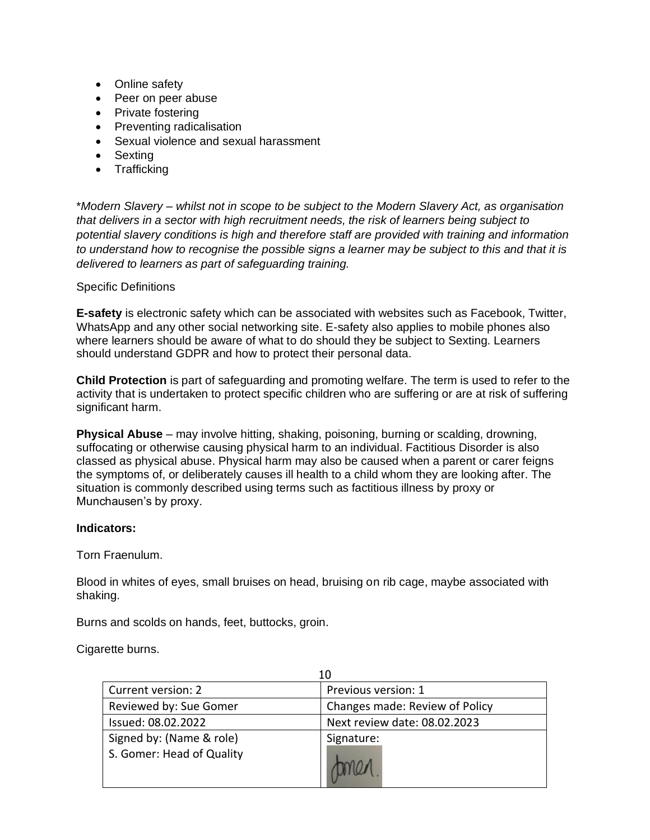- Online safety
- Peer on peer abuse
- Private fostering
- Preventing radicalisation
- Sexual violence and sexual harassment
- Sexting
- Trafficking

\**Modern Slavery – whilst not in scope to be subject to the Modern Slavery Act, as organisation that delivers in a sector with high recruitment needs, the risk of learners being subject to potential slavery conditions is high and therefore staff are provided with training and information to understand how to recognise the possible signs a learner may be subject to this and that it is delivered to learners as part of safeguarding training.*

Specific Definitions

**E-safety** is electronic safety which can be associated with websites such as Facebook, Twitter, WhatsApp and any other social networking site. E-safety also applies to mobile phones also where learners should be aware of what to do should they be subject to Sexting. Learners should understand GDPR and how to protect their personal data.

**Child Protection** is part of safeguarding and promoting welfare. The term is used to refer to the activity that is undertaken to protect specific children who are suffering or are at risk of suffering significant harm.

**Physical Abuse** – may involve hitting, shaking, poisoning, burning or scalding, drowning, suffocating or otherwise causing physical harm to an individual. Factitious Disorder is also classed as physical abuse. Physical harm may also be caused when a parent or carer feigns the symptoms of, or deliberately causes ill health to a child whom they are looking after. The situation is commonly described using terms such as factitious illness by proxy or Munchausen's by proxy.

#### **Indicators:**

Torn Fraenulum.

Blood in whites of eyes, small bruises on head, bruising on rib cage, maybe associated with shaking.

Burns and scolds on hands, feet, buttocks, groin.

Cigarette burns.

| Current version: 2        | Previous version: 1            |
|---------------------------|--------------------------------|
| Reviewed by: Sue Gomer    | Changes made: Review of Policy |
| Issued: 08.02.2022        | Next review date: 08.02.2023   |
| Signed by: (Name & role)  | Signature:                     |
| S. Gomer: Head of Quality |                                |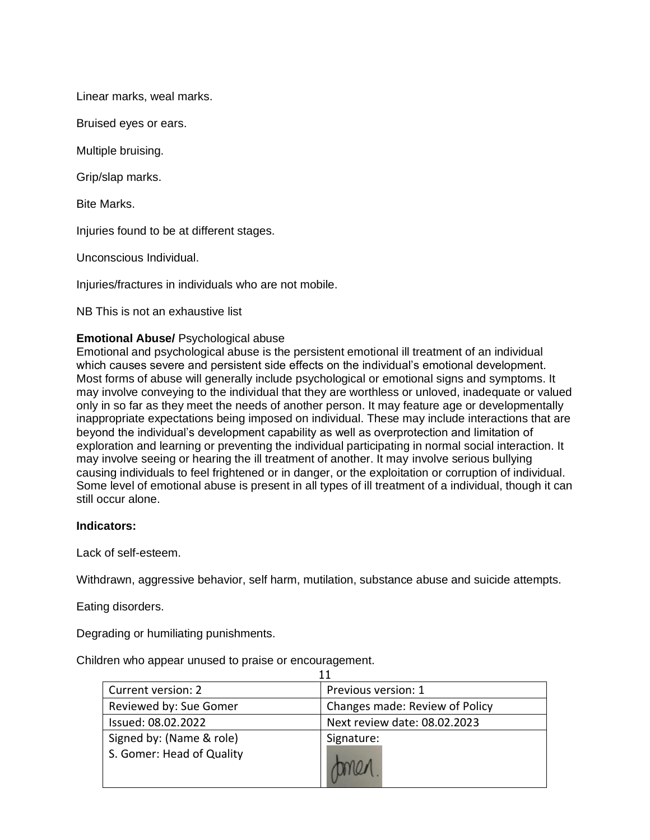Linear marks, weal marks.

Bruised eyes or ears.

Multiple bruising.

Grip/slap marks.

Bite Marks.

Injuries found to be at different stages.

Unconscious Individual.

Injuries/fractures in individuals who are not mobile.

NB This is not an exhaustive list

#### **Emotional Abuse/** Psychological abuse

Emotional and psychological abuse is the persistent emotional ill treatment of an individual which causes severe and persistent side effects on the individual's emotional development. Most forms of abuse will generally include psychological or emotional signs and symptoms. It may involve conveying to the individual that they are worthless or unloved, inadequate or valued only in so far as they meet the needs of another person. It may feature age or developmentally inappropriate expectations being imposed on individual. These may include interactions that are beyond the individual's development capability as well as overprotection and limitation of exploration and learning or preventing the individual participating in normal social interaction. It may involve seeing or hearing the ill treatment of another. It may involve serious bullying causing individuals to feel frightened or in danger, or the exploitation or corruption of individual. Some level of emotional abuse is present in all types of ill treatment of a individual, though it can still occur alone.

#### **Indicators:**

Lack of self-esteem.

Withdrawn, aggressive behavior, self harm, mutilation, substance abuse and suicide attempts.

Eating disorders.

Degrading or humiliating punishments.

Children who appear unused to praise or encouragement.

| Current version: 2        | Previous version: 1            |
|---------------------------|--------------------------------|
| Reviewed by: Sue Gomer    | Changes made: Review of Policy |
| Issued: 08.02.2022        | Next review date: 08.02.2023   |
| Signed by: (Name & role)  | Signature:                     |
| S. Gomer: Head of Quality |                                |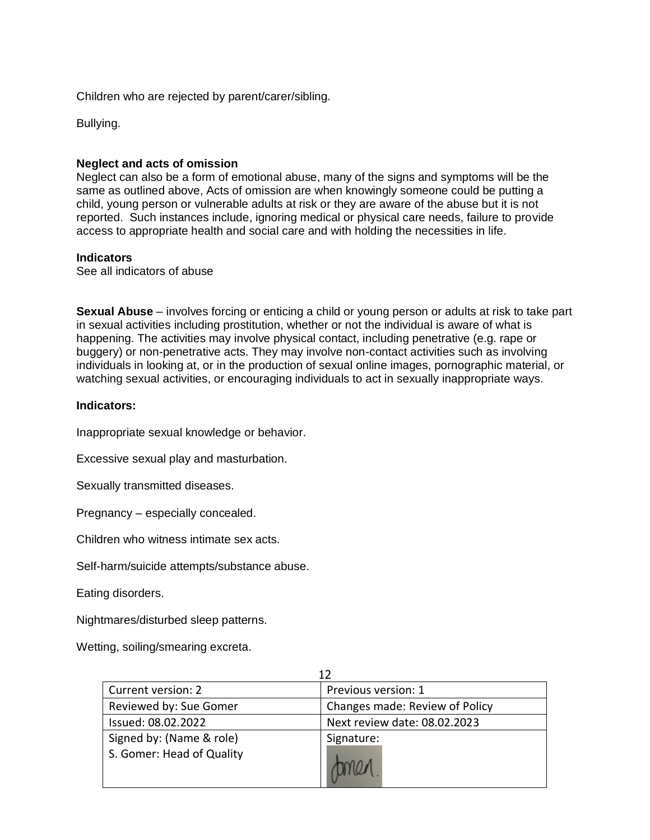Children who are rejected by parent/carer/sibling.

Bullying.

### **Neglect and acts of omission**

Neglect can also be a form of emotional abuse, many of the signs and symptoms will be the same as outlined above, Acts of omission are when knowingly someone could be putting a child, young person or vulnerable adults at risk or they are aware of the abuse but it is not reported. Such instances include, ignoring medical or physical care needs, failure to provide access to appropriate health and social care and with holding the necessities in life.

#### **Indicators**

See all indicators of abuse

**Sexual Abuse** – involves forcing or enticing a child or young person or adults at risk to take part in sexual activities including prostitution, whether or not the individual is aware of what is happening. The activities may involve physical contact, including penetrative (e.g. rape or buggery) or non-penetrative acts. They may involve non-contact activities such as involving individuals in looking at, or in the production of sexual online images, pornographic material, or watching sexual activities, or encouraging individuals to act in sexually inappropriate ways.

#### **Indicators:**

Inappropriate sexual knowledge or behavior.

Excessive sexual play and masturbation.

Sexually transmitted diseases.

Pregnancy – especially concealed.

Children who witness intimate sex acts.

Self-harm/suicide attempts/substance abuse.

Eating disorders.

Nightmares/disturbed sleep patterns.

Wetting, soiling/smearing excreta.

| Current version: 2                                    | Previous version: 1            |
|-------------------------------------------------------|--------------------------------|
| Reviewed by: Sue Gomer                                | Changes made: Review of Policy |
| Issued: 08.02.2022                                    | Next review date: 08.02.2023   |
| Signed by: (Name & role)<br>S. Gomer: Head of Quality | Signature:                     |
|                                                       |                                |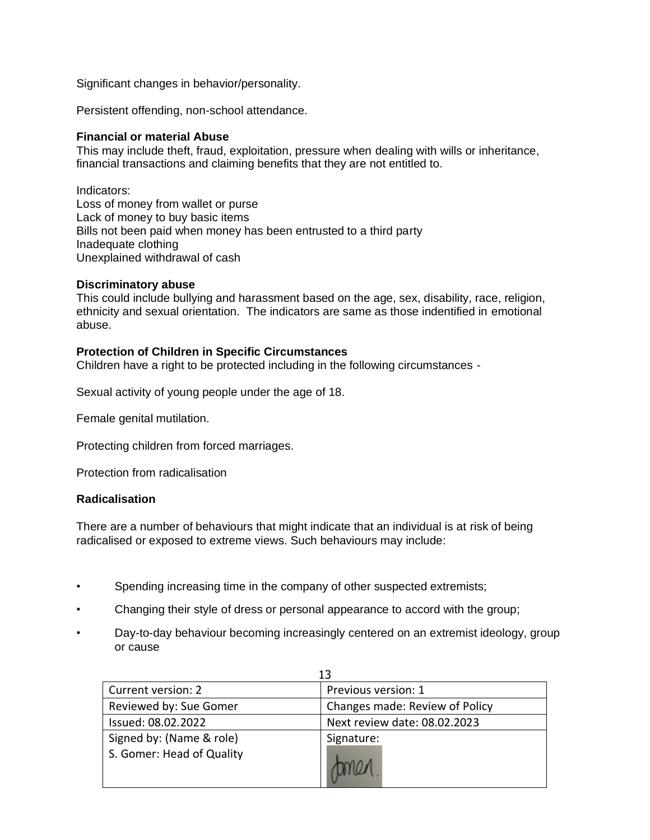Significant changes in behavior/personality.

Persistent offending, non-school attendance.

#### **Financial or material Abuse**

This may include theft, fraud, exploitation, pressure when dealing with wills or inheritance, financial transactions and claiming benefits that they are not entitled to.

Indicators: Loss of money from wallet or purse Lack of money to buy basic items Bills not been paid when money has been entrusted to a third party Inadequate clothing Unexplained withdrawal of cash

#### **Discriminatory abuse**

This could include bullying and harassment based on the age, sex, disability, race, religion, ethnicity and sexual orientation. The indicators are same as those indentified in emotional abuse.

#### **Protection of Children in Specific Circumstances**

Children have a right to be protected including in the following circumstances -

Sexual activity of young people under the age of 18.

Female genital mutilation.

Protecting children from forced marriages.

Protection from radicalisation

#### **Radicalisation**

There are a number of behaviours that might indicate that an individual is at risk of being radicalised or exposed to extreme views. Such behaviours may include:

- Spending increasing time in the company of other suspected extremists;
- Changing their style of dress or personal appearance to accord with the group;
- Day-to-day behaviour becoming increasingly centered on an extremist ideology, group or cause

 $\overline{1}$ 

| Current version: 2        | Previous version: 1            |
|---------------------------|--------------------------------|
| Reviewed by: Sue Gomer    | Changes made: Review of Policy |
| Issued: 08.02.2022        | Next review date: 08.02.2023   |
| Signed by: (Name & role)  | Signature:                     |
| S. Gomer: Head of Quality |                                |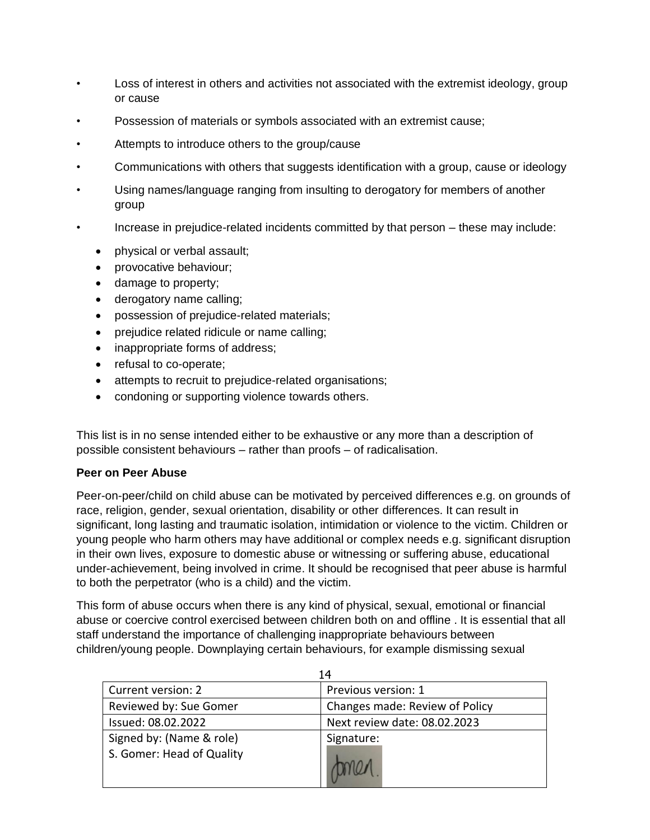- Loss of interest in others and activities not associated with the extremist ideology, group or cause
- Possession of materials or symbols associated with an extremist cause;
- Attempts to introduce others to the group/cause
- Communications with others that suggests identification with a group, cause or ideology
- Using names/language ranging from insulting to derogatory for members of another group
- Increase in prejudice-related incidents committed by that person these may include:
	- physical or verbal assault;
	- provocative behaviour;
	- damage to property;
	- derogatory name calling;
	- possession of prejudice-related materials;
	- prejudice related ridicule or name calling;
	- inappropriate forms of address;
	- refusal to co-operate;
	- attempts to recruit to prejudice-related organisations;
	- condoning or supporting violence towards others.

This list is in no sense intended either to be exhaustive or any more than a description of possible consistent behaviours – rather than proofs – of radicalisation.

# **Peer on Peer Abuse**

Peer-on-peer/child on child abuse can be motivated by perceived differences e.g. on grounds of race, religion, gender, sexual orientation, disability or other differences. It can result in significant, long lasting and traumatic isolation, intimidation or violence to the victim. Children or young people who harm others may have additional or complex needs e.g. significant disruption in their own lives, exposure to domestic abuse or witnessing or suffering abuse, educational under-achievement, being involved in crime. It should be recognised that peer abuse is harmful to both the perpetrator (who is a child) and the victim.

This form of abuse occurs when there is any kind of physical, sexual, emotional or financial abuse or coercive control exercised between children both on and offline . It is essential that all staff understand the importance of challenging inappropriate behaviours between children/young people. Downplaying certain behaviours, for example dismissing sexual

| 14                                                    |                                |
|-------------------------------------------------------|--------------------------------|
| Current version: 2                                    | Previous version: 1            |
| Reviewed by: Sue Gomer                                | Changes made: Review of Policy |
| Issued: 08.02.2022                                    | Next review date: 08.02.2023   |
| Signed by: (Name & role)<br>S. Gomer: Head of Quality | Signature:                     |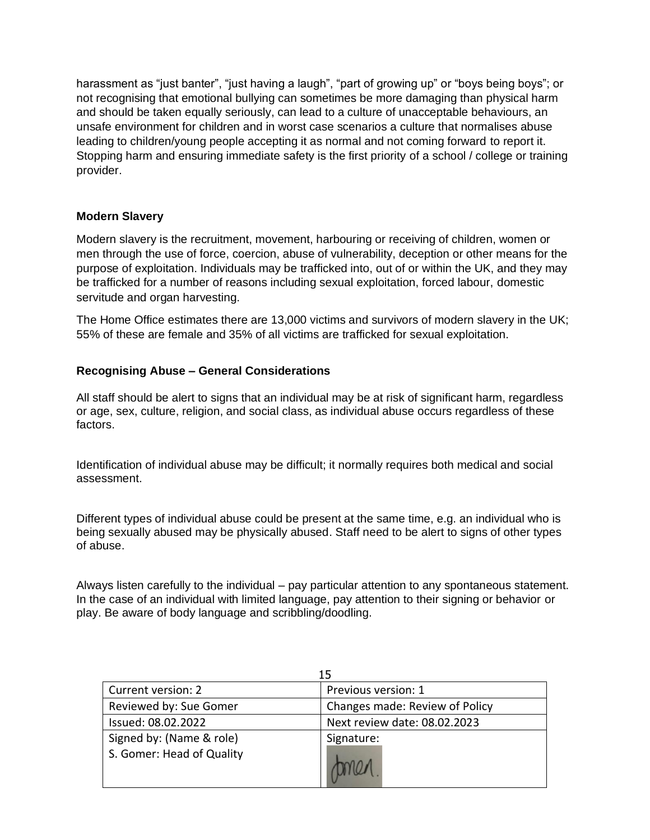harassment as "just banter", "just having a laugh", "part of growing up" or "boys being boys"; or not recognising that emotional bullying can sometimes be more damaging than physical harm and should be taken equally seriously, can lead to a culture of unacceptable behaviours, an unsafe environment for children and in worst case scenarios a culture that normalises abuse leading to children/young people accepting it as normal and not coming forward to report it. Stopping harm and ensuring immediate safety is the first priority of a school / college or training provider.

# **Modern Slavery**

Modern slavery is the recruitment, movement, harbouring or receiving of children, women or men through the use of force, coercion, abuse of vulnerability, deception or other means for the purpose of exploitation. Individuals may be trafficked into, out of or within the UK, and they may be trafficked for a number of reasons including sexual exploitation, forced labour, domestic servitude and organ harvesting.

The Home Office estimates there are 13,000 victims and survivors of modern slavery in the UK; 55% of these are female and 35% of all victims are trafficked for sexual exploitation.

# **Recognising Abuse – General Considerations**

All staff should be alert to signs that an individual may be at risk of significant harm, regardless or age, sex, culture, religion, and social class, as individual abuse occurs regardless of these factors.

Identification of individual abuse may be difficult; it normally requires both medical and social assessment.

Different types of individual abuse could be present at the same time, e.g. an individual who is being sexually abused may be physically abused. Staff need to be alert to signs of other types of abuse.

Always listen carefully to the individual – pay particular attention to any spontaneous statement. In the case of an individual with limited language, pay attention to their signing or behavior or play. Be aware of body language and scribbling/doodling.

| 15                        |                                |
|---------------------------|--------------------------------|
| Current version: 2        | Previous version: 1            |
| Reviewed by: Sue Gomer    | Changes made: Review of Policy |
| Issued: 08.02.2022        | Next review date: 08.02.2023   |
| Signed by: (Name & role)  | Signature:                     |
| S. Gomer: Head of Quality |                                |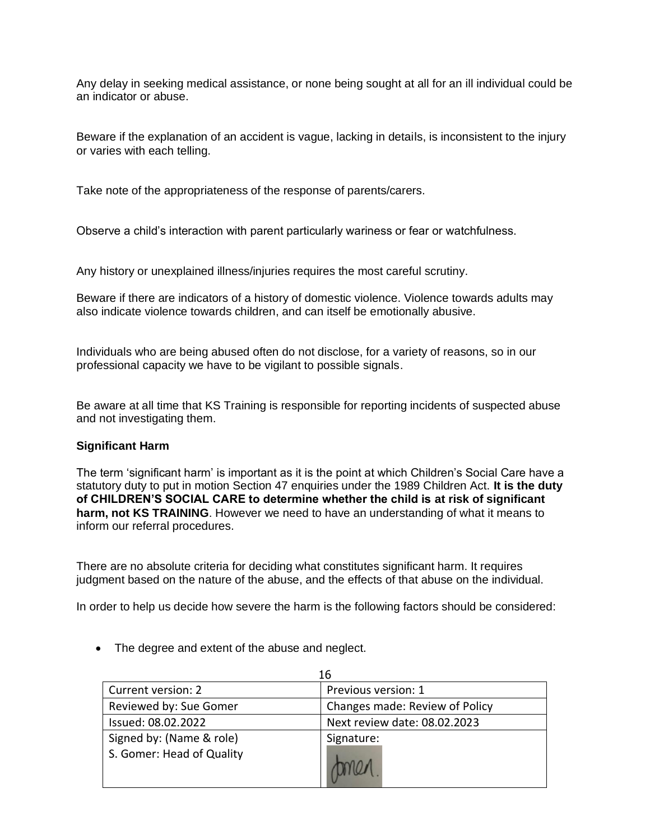Any delay in seeking medical assistance, or none being sought at all for an ill individual could be an indicator or abuse.

Beware if the explanation of an accident is vague, lacking in details, is inconsistent to the injury or varies with each telling.

Take note of the appropriateness of the response of parents/carers.

Observe a child's interaction with parent particularly wariness or fear or watchfulness.

Any history or unexplained illness/injuries requires the most careful scrutiny.

Beware if there are indicators of a history of domestic violence. Violence towards adults may also indicate violence towards children, and can itself be emotionally abusive.

Individuals who are being abused often do not disclose, for a variety of reasons, so in our professional capacity we have to be vigilant to possible signals.

Be aware at all time that KS Training is responsible for reporting incidents of suspected abuse and not investigating them.

# **Significant Harm**

The term 'significant harm' is important as it is the point at which Children's Social Care have a statutory duty to put in motion Section 47 enquiries under the 1989 Children Act. **It is the duty of CHILDREN'S SOCIAL CARE to determine whether the child is at risk of significant harm, not KS TRAINING**. However we need to have an understanding of what it means to inform our referral procedures.

There are no absolute criteria for deciding what constitutes significant harm. It requires judgment based on the nature of the abuse, and the effects of that abuse on the individual.

In order to help us decide how severe the harm is the following factors should be considered:

• The degree and extent of the abuse and neglect.

| 16                        |                                |
|---------------------------|--------------------------------|
| Current version: 2        | Previous version: 1            |
| Reviewed by: Sue Gomer    | Changes made: Review of Policy |
| Issued: 08.02.2022        | Next review date: 08.02.2023   |
| Signed by: (Name & role)  | Signature:                     |
| S. Gomer: Head of Quality |                                |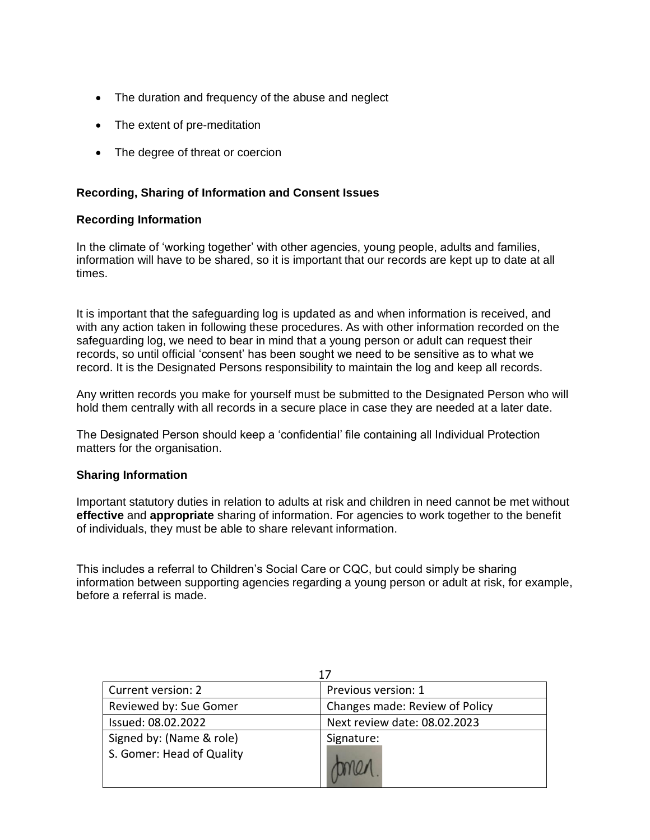- The duration and frequency of the abuse and neglect
- The extent of pre-meditation
- The degree of threat or coercion

# **Recording, Sharing of Information and Consent Issues**

#### **Recording Information**

In the climate of 'working together' with other agencies, young people, adults and families, information will have to be shared, so it is important that our records are kept up to date at all times.

It is important that the safeguarding log is updated as and when information is received, and with any action taken in following these procedures. As with other information recorded on the safeguarding log, we need to bear in mind that a young person or adult can request their records, so until official 'consent' has been sought we need to be sensitive as to what we record. It is the Designated Persons responsibility to maintain the log and keep all records.

Any written records you make for yourself must be submitted to the Designated Person who will hold them centrally with all records in a secure place in case they are needed at a later date.

The Designated Person should keep a 'confidential' file containing all Individual Protection matters for the organisation.

#### **Sharing Information**

Important statutory duties in relation to adults at risk and children in need cannot be met without **effective** and **appropriate** sharing of information. For agencies to work together to the benefit of individuals, they must be able to share relevant information.

This includes a referral to Children's Social Care or CQC, but could simply be sharing information between supporting agencies regarding a young person or adult at risk, for example, before a referral is made.

| Current version: 2        | Previous version: 1            |
|---------------------------|--------------------------------|
| Reviewed by: Sue Gomer    | Changes made: Review of Policy |
| Issued: 08.02.2022        | Next review date: 08.02.2023   |
| Signed by: (Name & role)  | Signature:                     |
| S. Gomer: Head of Quality |                                |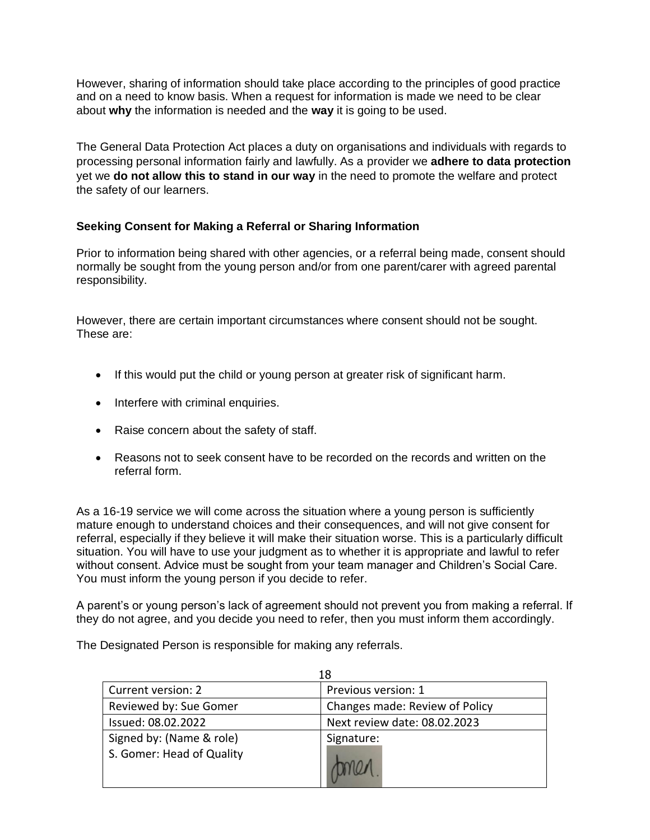However, sharing of information should take place according to the principles of good practice and on a need to know basis. When a request for information is made we need to be clear about **why** the information is needed and the **way** it is going to be used.

The General Data Protection Act places a duty on organisations and individuals with regards to processing personal information fairly and lawfully. As a provider we **adhere to data protection** yet we **do not allow this to stand in our way** in the need to promote the welfare and protect the safety of our learners.

# **Seeking Consent for Making a Referral or Sharing Information**

Prior to information being shared with other agencies, or a referral being made, consent should normally be sought from the young person and/or from one parent/carer with agreed parental responsibility.

However, there are certain important circumstances where consent should not be sought. These are:

- If this would put the child or young person at greater risk of significant harm.
- Interfere with criminal enquiries.
- Raise concern about the safety of staff.
- Reasons not to seek consent have to be recorded on the records and written on the referral form.

As a 16-19 service we will come across the situation where a young person is sufficiently mature enough to understand choices and their consequences, and will not give consent for referral, especially if they believe it will make their situation worse. This is a particularly difficult situation. You will have to use your judgment as to whether it is appropriate and lawful to refer without consent. Advice must be sought from your team manager and Children's Social Care. You must inform the young person if you decide to refer.

A parent's or young person's lack of agreement should not prevent you from making a referral. If they do not agree, and you decide you need to refer, then you must inform them accordingly.

The Designated Person is responsible for making any referrals.

| 18                        |                                |
|---------------------------|--------------------------------|
| Current version: 2        | Previous version: 1            |
| Reviewed by: Sue Gomer    | Changes made: Review of Policy |
| Issued: 08.02.2022        | Next review date: 08.02.2023   |
| Signed by: (Name & role)  | Signature:                     |
| S. Gomer: Head of Quality |                                |
|                           |                                |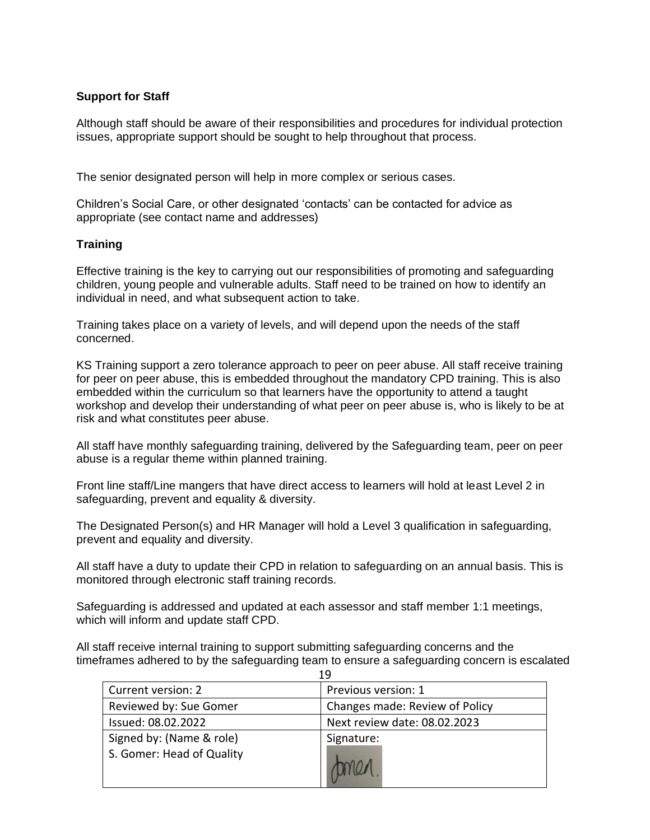# **Support for Staff**

Although staff should be aware of their responsibilities and procedures for individual protection issues, appropriate support should be sought to help throughout that process.

The senior designated person will help in more complex or serious cases.

Children's Social Care, or other designated 'contacts' can be contacted for advice as appropriate (see contact name and addresses)

# **Training**

Effective training is the key to carrying out our responsibilities of promoting and safeguarding children, young people and vulnerable adults. Staff need to be trained on how to identify an individual in need, and what subsequent action to take.

Training takes place on a variety of levels, and will depend upon the needs of the staff concerned.

KS Training support a zero tolerance approach to peer on peer abuse. All staff receive training for peer on peer abuse, this is embedded throughout the mandatory CPD training. This is also embedded within the curriculum so that learners have the opportunity to attend a taught workshop and develop their understanding of what peer on peer abuse is, who is likely to be at risk and what constitutes peer abuse.

All staff have monthly safeguarding training, delivered by the Safeguarding team, peer on peer abuse is a regular theme within planned training.

Front line staff/Line mangers that have direct access to learners will hold at least Level 2 in safeguarding, prevent and equality & diversity.

The Designated Person(s) and HR Manager will hold a Level 3 qualification in safeguarding, prevent and equality and diversity.

All staff have a duty to update their CPD in relation to safeguarding on an annual basis. This is monitored through electronic staff training records.

Safeguarding is addressed and updated at each assessor and staff member 1:1 meetings, which will inform and update staff CPD.

All staff receive internal training to support submitting safeguarding concerns and the timeframes adhered to by the safeguarding team to ensure a safeguarding concern is escalated

| 19                        |                                |
|---------------------------|--------------------------------|
| Current version: 2        | Previous version: 1            |
| Reviewed by: Sue Gomer    | Changes made: Review of Policy |
| Issued: 08.02.2022        | Next review date: 08.02.2023   |
| Signed by: (Name & role)  | Signature:                     |
| S. Gomer: Head of Quality |                                |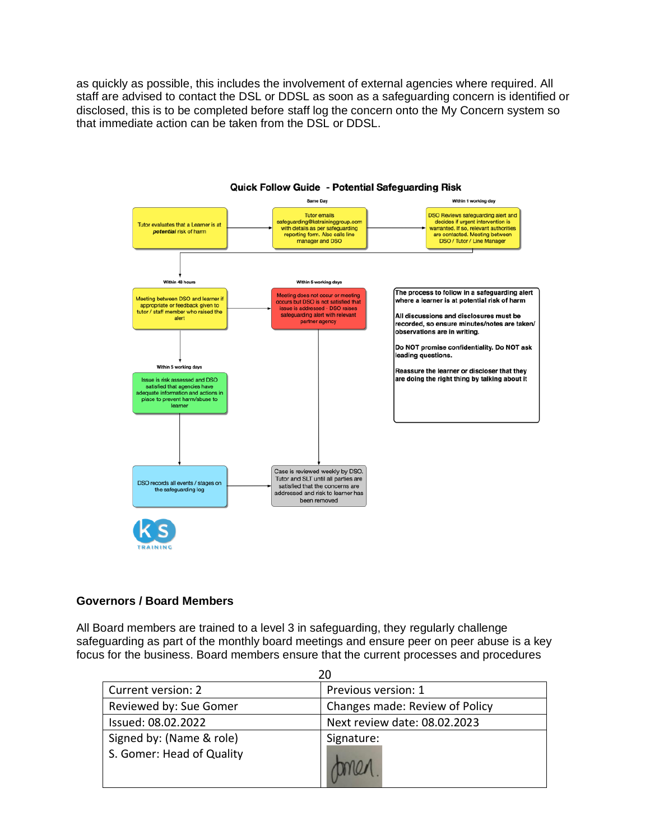as quickly as possible, this includes the involvement of external agencies where required. All staff are advised to contact the DSL or DDSL as soon as a safeguarding concern is identified or disclosed, this is to be completed before staff log the concern onto the My Concern system so that immediate action can be taken from the DSL or DDSL.



#### Quick Follow Guide - Potential Safeguarding Risk

#### **Governors / Board Members**

All Board members are trained to a level 3 in safeguarding, they regularly challenge safeguarding as part of the monthly board meetings and ensure peer on peer abuse is a key focus for the business. Board members ensure that the current processes and procedures

| 20                                                    |                                |
|-------------------------------------------------------|--------------------------------|
| Current version: 2                                    | Previous version: 1            |
| Reviewed by: Sue Gomer                                | Changes made: Review of Policy |
| Issued: 08.02.2022                                    | Next review date: 08.02.2023   |
| Signed by: (Name & role)<br>S. Gomer: Head of Quality | Signature:                     |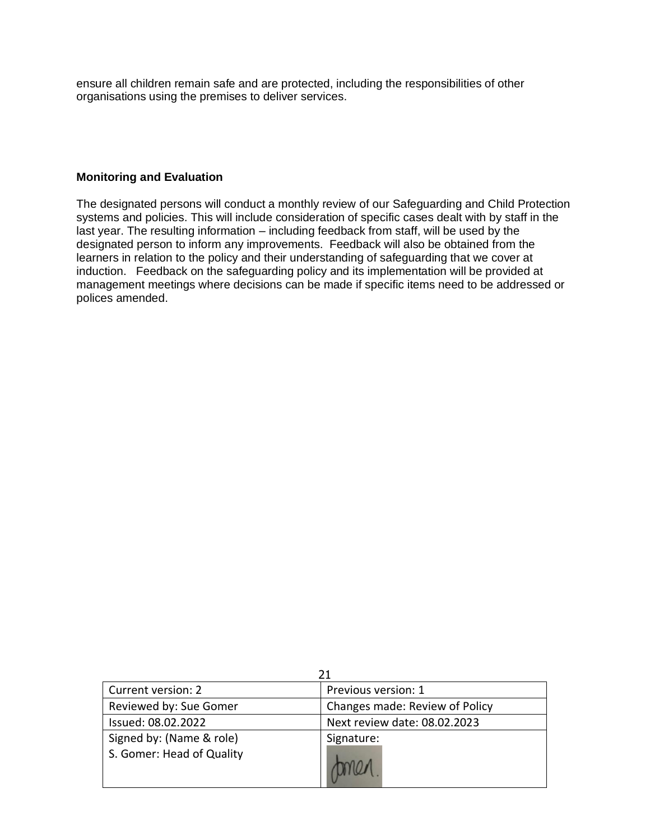ensure all children remain safe and are protected, including the responsibilities of other organisations using the premises to deliver services.

### **Monitoring and Evaluation**

The designated persons will conduct a monthly review of our Safeguarding and Child Protection systems and policies. This will include consideration of specific cases dealt with by staff in the last year. The resulting information – including feedback from staff, will be used by the designated person to inform any improvements. Feedback will also be obtained from the learners in relation to the policy and their understanding of safeguarding that we cover at induction. Feedback on the safeguarding policy and its implementation will be provided at management meetings where decisions can be made if specific items need to be addressed or polices amended.

| Current version: 2        | Previous version: 1            |
|---------------------------|--------------------------------|
| Reviewed by: Sue Gomer    | Changes made: Review of Policy |
| Issued: 08.02.2022        | Next review date: 08.02.2023   |
| Signed by: (Name & role)  | Signature:                     |
| S. Gomer: Head of Quality |                                |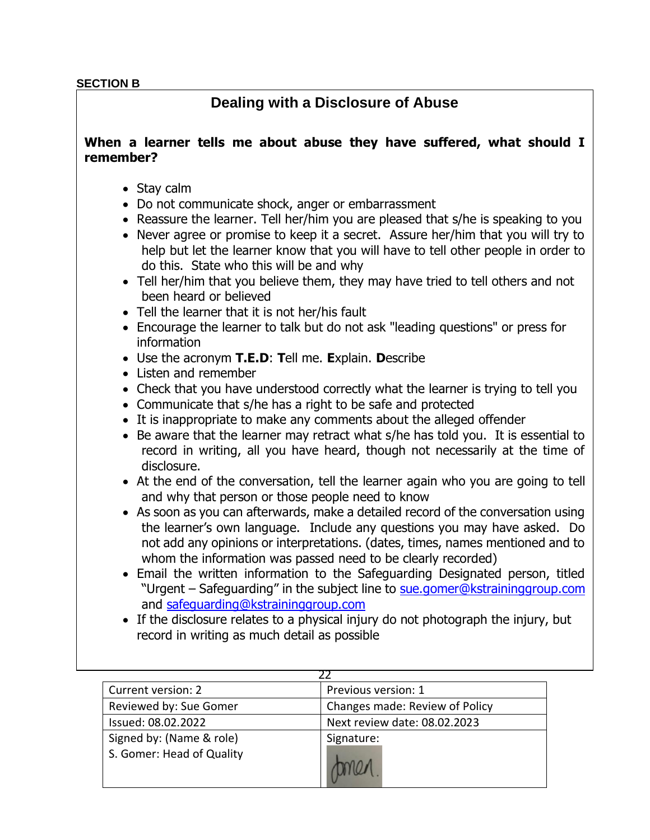### **SECTION B**

# **Dealing with a Disclosure of Abuse**

# **When a learner tells me about abuse they have suffered, what should I remember?**

- Stay calm
- Do not communicate shock, anger or embarrassment
- Reassure the learner. Tell her/him you are pleased that s/he is speaking to you
- Never agree or promise to keep it a secret. Assure her/him that you will try to help but let the learner know that you will have to tell other people in order to do this. State who this will be and why
- Tell her/him that you believe them, they may have tried to tell others and not been heard or believed
- Tell the learner that it is not her/his fault
- Encourage the learner to talk but do not ask "leading questions" or press for information
- Use the acronym **T.E.D**: **T**ell me. **E**xplain. **D**escribe
- Listen and remember
- Check that you have understood correctly what the learner is trying to tell you
- Communicate that s/he has a right to be safe and protected
- It is inappropriate to make any comments about the alleged offender
- Be aware that the learner may retract what s/he has told you. It is essential to record in writing, all you have heard, though not necessarily at the time of disclosure.
- At the end of the conversation, tell the learner again who you are going to tell and why that person or those people need to know
- As soon as you can afterwards, make a detailed record of the conversation using the learner's own language. Include any questions you may have asked. Do not add any opinions or interpretations. (dates, times, names mentioned and to whom the information was passed need to be clearly recorded)
- Email the written information to the Safeguarding Designated person, titled "Urgent – Safeguarding" in the subject line to sue.gomer@kstraininggroup.com and safeguarding@kstraininggroup.com
- If the disclosure relates to a physical injury do not photograph the injury, but record in writing as much detail as possible

| Current version: 2        | Previous version: 1            |
|---------------------------|--------------------------------|
| Reviewed by: Sue Gomer    | Changes made: Review of Policy |
| Issued: 08.02.2022        | Next review date: 08.02.2023   |
| Signed by: (Name & role)  | Signature:                     |
| S. Gomer: Head of Quality |                                |
|                           |                                |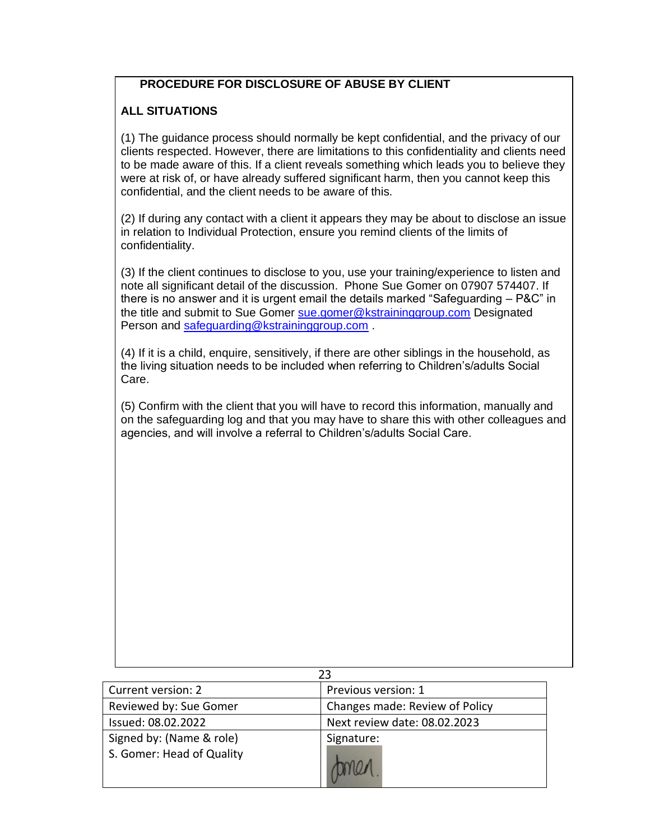# **PROCEDURE FOR DISCLOSURE OF ABUSE BY CLIENT**

# **ALL SITUATIONS**

(1) The guidance process should normally be kept confidential, and the privacy of our clients respected. However, there are limitations to this confidentiality and clients need to be made aware of this. If a client reveals something which leads you to believe they were at risk of, or have already suffered significant harm, then you cannot keep this confidential, and the client needs to be aware of this.

(2) If during any contact with a client it appears they may be about to disclose an issue in relation to Individual Protection, ensure you remind clients of the limits of confidentiality.

(3) If the client continues to disclose to you, use your training/experience to listen and note all significant detail of the discussion. Phone Sue Gomer on 07907 574407. If there is no answer and it is urgent email the details marked "Safeguarding – P&C" in the title and submit to Sue Gomer [sue.gomer@kstraininggroup.com](mailto:sue.gomer@kstraininggroup.com) Designated Person and [safeguarding@kstraininggroup.com](mailto:safeguarding@kstraininggroup.com) .

(4) If it is a child, enquire, sensitively, if there are other siblings in the household, as the living situation needs to be included when referring to Children's/adults Social Care.

(5) Confirm with the client that you will have to record this information, manually and on the safeguarding log and that you may have to share this with other colleagues and agencies, and will involve a referral to Children's/adults Social Care.

| 23                        |                                |
|---------------------------|--------------------------------|
| Current version: 2        | Previous version: 1            |
| Reviewed by: Sue Gomer    | Changes made: Review of Policy |
| Issued: 08.02.2022        | Next review date: 08.02.2023   |
| Signed by: (Name & role)  | Signature:                     |
| S. Gomer: Head of Quality |                                |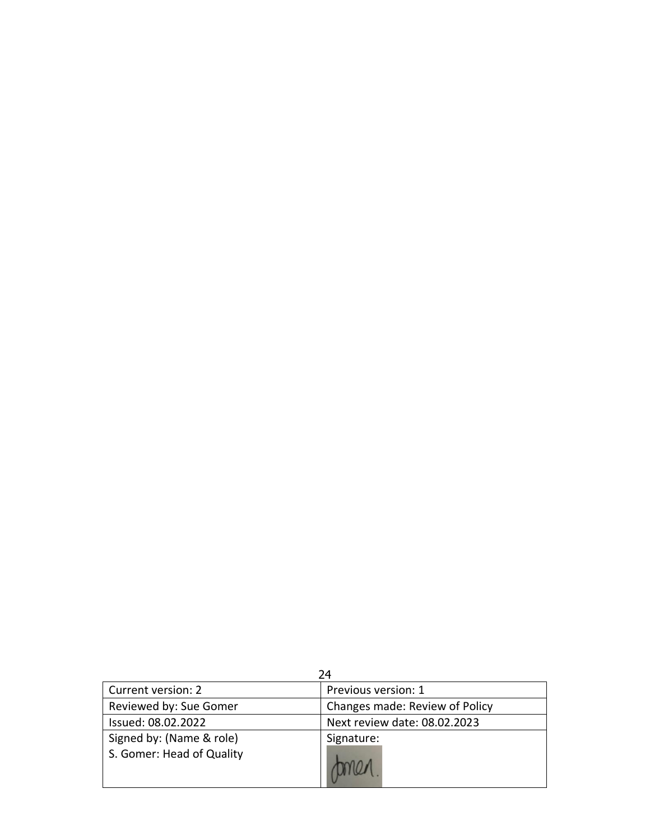|                                                       | 24                             |
|-------------------------------------------------------|--------------------------------|
| Current version: 2                                    | Previous version: 1            |
| Reviewed by: Sue Gomer                                | Changes made: Review of Policy |
| Issued: 08.02.2022                                    | Next review date: 08.02.2023   |
| Signed by: (Name & role)<br>S. Gomer: Head of Quality | Signature:                     |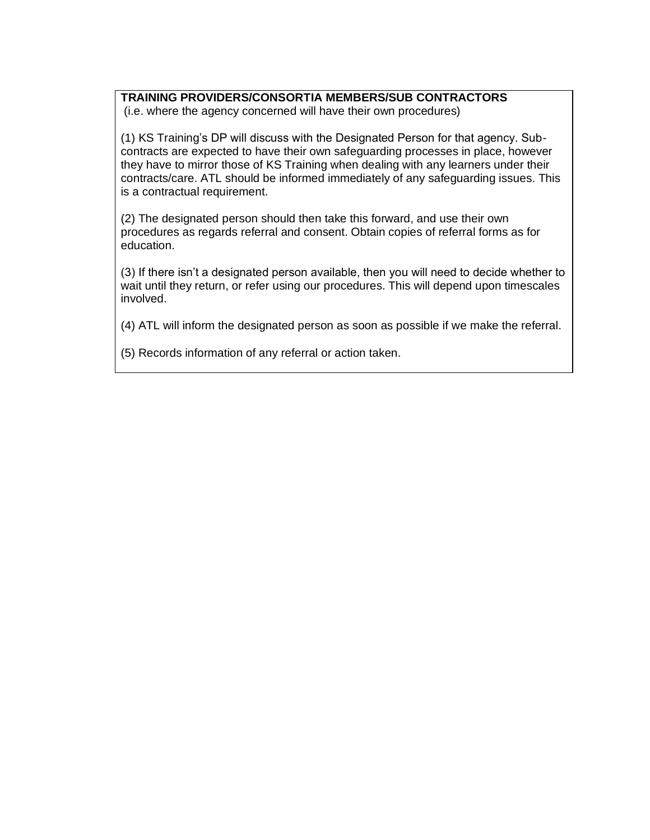# **TRAINING PROVIDERS/CONSORTIA MEMBERS/SUB CONTRACTORS**

(i.e. where the agency concerned will have their own procedures)

(1) KS Training's DP will discuss with the Designated Person for that agency. Subcontracts are expected to have their own safeguarding processes in place, however they have to mirror those of KS Training when dealing with any learners under their contracts/care. ATL should be informed immediately of any safeguarding issues. This is a contractual requirement.

(2) The designated person should then take this forward, and use their own procedures as regards referral and consent. Obtain copies of referral forms as for education.

(3) If there isn't a designated person available, then you will need to decide whether to wait until they return, or refer using our procedures. This will depend upon timescales involved.

(4) ATL will inform the designated person as soon as possible if we make the referral.

(5) Records information of any referral or action taken.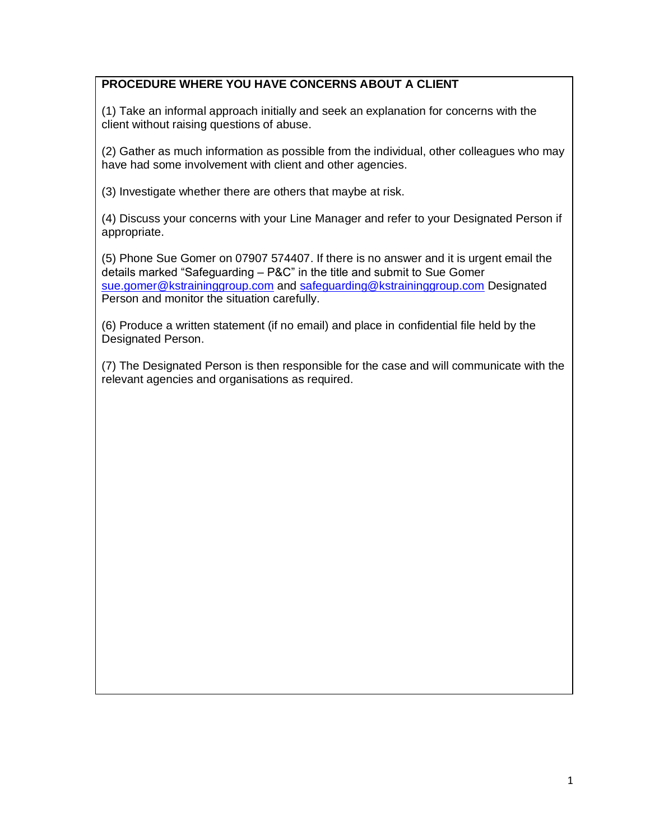# **PROCEDURE WHERE YOU HAVE CONCERNS ABOUT A CLIENT**

(1) Take an informal approach initially and seek an explanation for concerns with the client without raising questions of abuse.

(2) Gather as much information as possible from the individual, other colleagues who may have had some involvement with client and other agencies.

(3) Investigate whether there are others that maybe at risk.

(4) Discuss your concerns with your Line Manager and refer to your Designated Person if appropriate.

(5) Phone Sue Gomer on 07907 574407. If there is no answer and it is urgent email the details marked "Safeguarding – P&C" in the title and submit to Sue Gomer [sue.gomer@kstraininggroup.com](mailto:sue.gomer@kstraininggroup.com) and [safeguarding@kstraininggroup.com](mailto:safeguarding@kstraininggroup.com) Designated Person and monitor the situation carefully.

(6) Produce a written statement (if no email) and place in confidential file held by the Designated Person.

(7) The Designated Person is then responsible for the case and will communicate with the relevant agencies and organisations as required.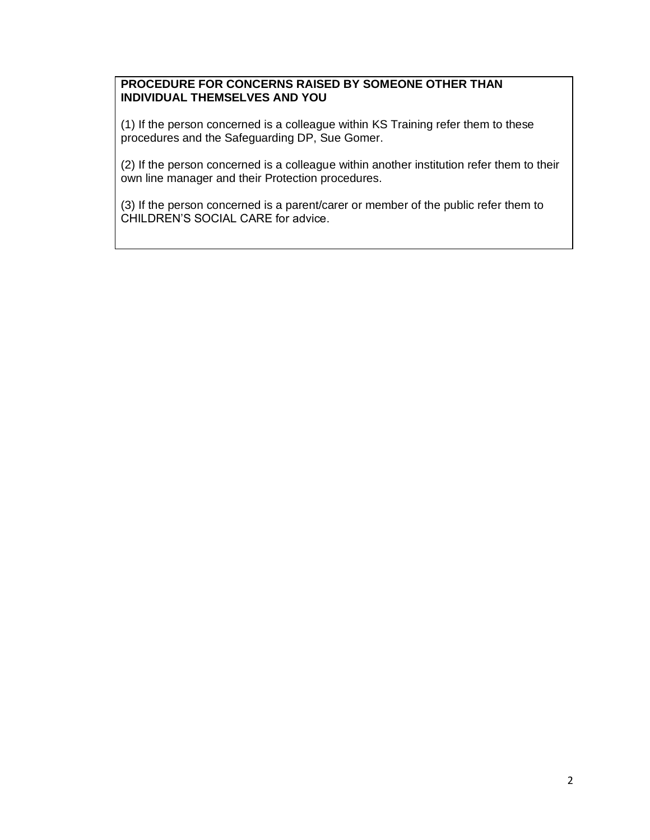# **PROCEDURE FOR CONCERNS RAISED BY SOMEONE OTHER THAN INDIVIDUAL THEMSELVES AND YOU**

(1) If the person concerned is a colleague within KS Training refer them to these procedures and the Safeguarding DP, Sue Gomer.

(2) If the person concerned is a colleague within another institution refer them to their own line manager and their Protection procedures.

(3) If the person concerned is a parent/carer or member of the public refer them to CHILDREN'S SOCIAL CARE for advice.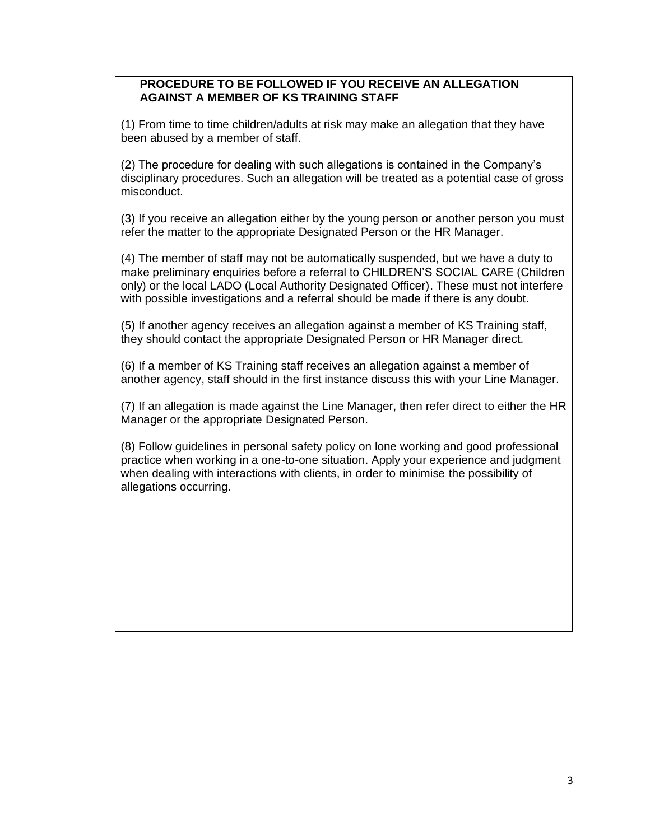# **PROCEDURE TO BE FOLLOWED IF YOU RECEIVE AN ALLEGATION AGAINST A MEMBER OF KS TRAINING STAFF**

(1) From time to time children/adults at risk may make an allegation that they have been abused by a member of staff.

(2) The procedure for dealing with such allegations is contained in the Company's disciplinary procedures. Such an allegation will be treated as a potential case of gross misconduct.

(3) If you receive an allegation either by the young person or another person you must refer the matter to the appropriate Designated Person or the HR Manager.

(4) The member of staff may not be automatically suspended, but we have a duty to make preliminary enquiries before a referral to CHILDREN'S SOCIAL CARE (Children only) or the local LADO (Local Authority Designated Officer). These must not interfere with possible investigations and a referral should be made if there is any doubt.

(5) If another agency receives an allegation against a member of KS Training staff, they should contact the appropriate Designated Person or HR Manager direct.

(6) If a member of KS Training staff receives an allegation against a member of another agency, staff should in the first instance discuss this with your Line Manager.

(7) If an allegation is made against the Line Manager, then refer direct to either the HR Manager or the appropriate Designated Person.

(8) Follow guidelines in personal safety policy on lone working and good professional practice when working in a one-to-one situation. Apply your experience and judgment when dealing with interactions with clients, in order to minimise the possibility of allegations occurring.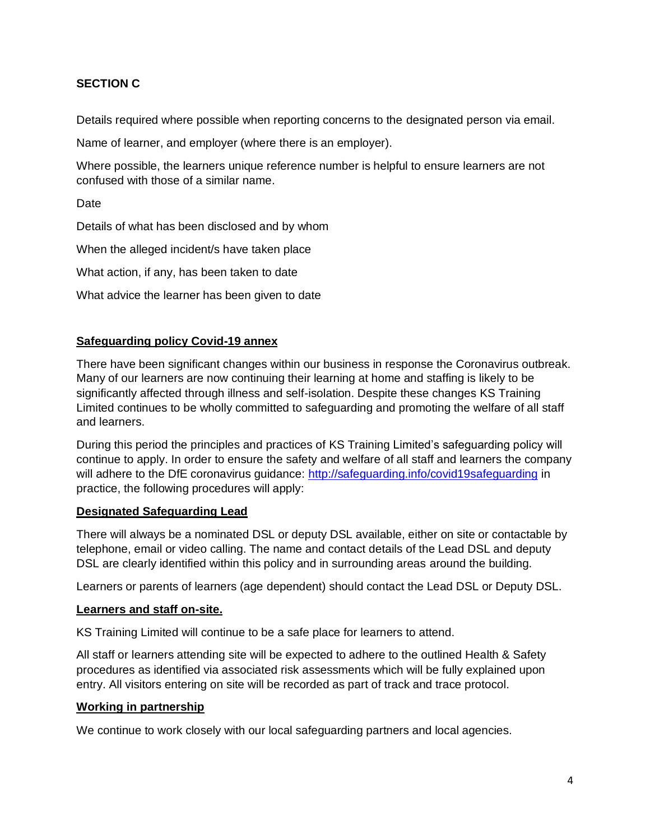# **SECTION C**

Details required where possible when reporting concerns to the designated person via email.

Name of learner, and employer (where there is an employer).

Where possible, the learners unique reference number is helpful to ensure learners are not confused with those of a similar name.

Date

Details of what has been disclosed and by whom

When the alleged incident/s have taken place

What action, if any, has been taken to date

What advice the learner has been given to date

#### **Safeguarding policy Covid-19 annex**

There have been significant changes within our business in response the Coronavirus outbreak. Many of our learners are now continuing their learning at home and staffing is likely to be significantly affected through illness and self-isolation. Despite these changes KS Training Limited continues to be wholly committed to safeguarding and promoting the welfare of all staff and learners.

During this period the principles and practices of KS Training Limited's safeguarding policy will continue to apply. In order to ensure the safety and welfare of all staff and learners the company will adhere to the DfE coronavirus guidance:<http://safeguarding.info/covid19safeguarding> in practice, the following procedures will apply:

#### **Designated Safeguarding Lead**

There will always be a nominated DSL or deputy DSL available, either on site or contactable by telephone, email or video calling. The name and contact details of the Lead DSL and deputy DSL are clearly identified within this policy and in surrounding areas around the building.

Learners or parents of learners (age dependent) should contact the Lead DSL or Deputy DSL.

#### **Learners and staff on-site.**

KS Training Limited will continue to be a safe place for learners to attend.

All staff or learners attending site will be expected to adhere to the outlined Health & Safety procedures as identified via associated risk assessments which will be fully explained upon entry. All visitors entering on site will be recorded as part of track and trace protocol.

#### **Working in partnership**

We continue to work closely with our local safeguarding partners and local agencies.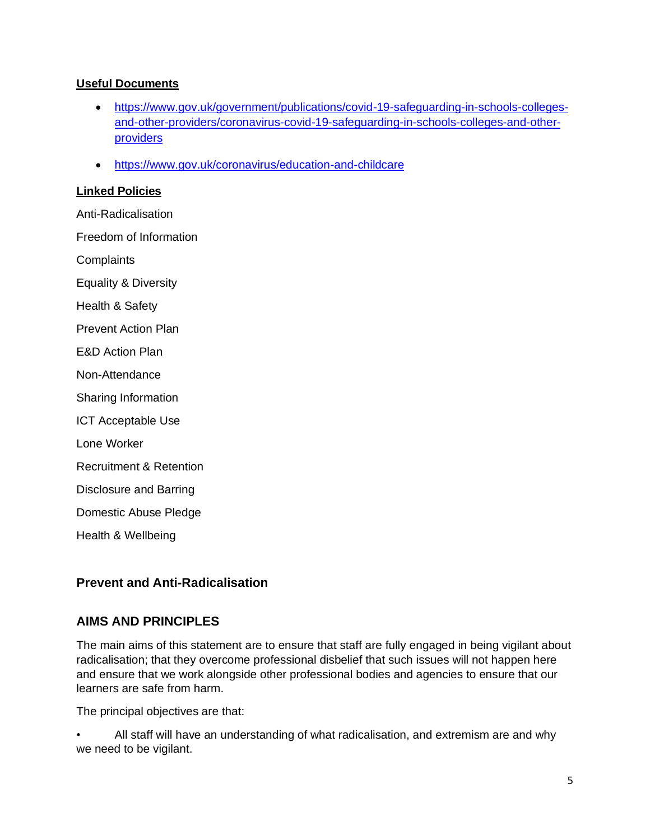# **Useful Documents**

- [https://www.gov.uk/government/publications/covid-19-safeguarding-in-schools-colleges](https://www.gov.uk/government/publications/covid-19-safeguarding-in-schools-colleges-and-other-providers/coronavirus-covid-19-safeguarding-in-schools-colleges-and-other-providers)[and-other-providers/coronavirus-covid-19-safeguarding-in-schools-colleges-and-other](https://www.gov.uk/government/publications/covid-19-safeguarding-in-schools-colleges-and-other-providers/coronavirus-covid-19-safeguarding-in-schools-colleges-and-other-providers)[providers](https://www.gov.uk/government/publications/covid-19-safeguarding-in-schools-colleges-and-other-providers/coronavirus-covid-19-safeguarding-in-schools-colleges-and-other-providers)
- <https://www.gov.uk/coronavirus/education-and-childcare>

### **Linked Policies**

Anti-Radicalisation Freedom of Information **Complaints** Equality & Diversity Health & Safety Prevent Action Plan E&D Action Plan Non-Attendance Sharing Information ICT Acceptable Use Lone Worker Recruitment & Retention Disclosure and Barring Domestic Abuse Pledge Health & Wellbeing

# **Prevent and Anti-Radicalisation**

# **AIMS AND PRINCIPLES**

The main aims of this statement are to ensure that staff are fully engaged in being vigilant about radicalisation; that they overcome professional disbelief that such issues will not happen here and ensure that we work alongside other professional bodies and agencies to ensure that our learners are safe from harm.

The principal objectives are that:

• All staff will have an understanding of what radicalisation, and extremism are and why we need to be vigilant.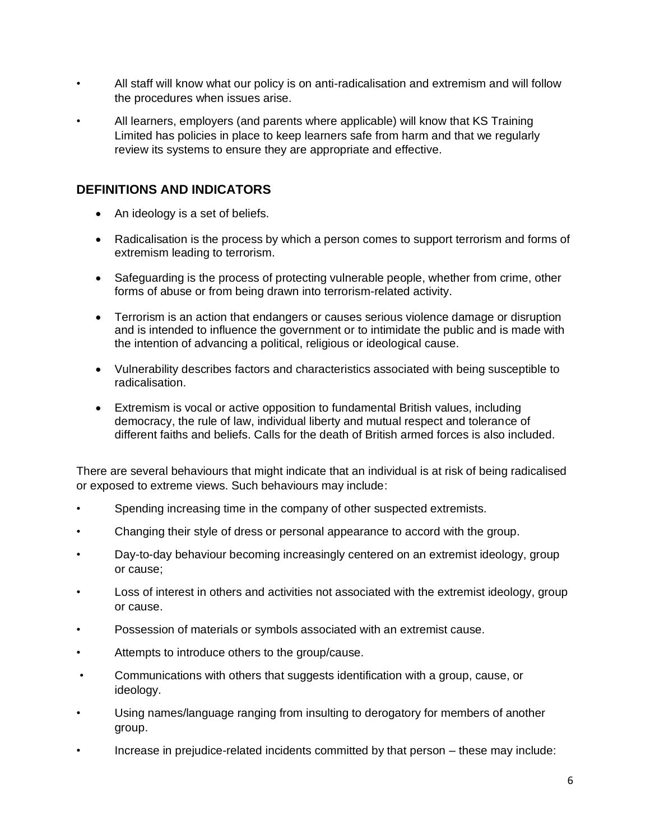- All staff will know what our policy is on anti-radicalisation and extremism and will follow the procedures when issues arise.
- All learners, employers (and parents where applicable) will know that KS Training Limited has policies in place to keep learners safe from harm and that we regularly review its systems to ensure they are appropriate and effective.

# **DEFINITIONS AND INDICATORS**

- An ideology is a set of beliefs.
- Radicalisation is the process by which a person comes to support terrorism and forms of extremism leading to terrorism.
- Safeguarding is the process of protecting vulnerable people, whether from crime, other forms of abuse or from being drawn into terrorism-related activity.
- Terrorism is an action that endangers or causes serious violence damage or disruption and is intended to influence the government or to intimidate the public and is made with the intention of advancing a political, religious or ideological cause.
- Vulnerability describes factors and characteristics associated with being susceptible to radicalisation.
- Extremism is vocal or active opposition to fundamental British values, including democracy, the rule of law, individual liberty and mutual respect and tolerance of different faiths and beliefs. Calls for the death of British armed forces is also included.

There are several behaviours that might indicate that an individual is at risk of being radicalised or exposed to extreme views. Such behaviours may include:

- Spending increasing time in the company of other suspected extremists.
- Changing their style of dress or personal appearance to accord with the group.
- Day-to-day behaviour becoming increasingly centered on an extremist ideology, group or cause;
- Loss of interest in others and activities not associated with the extremist ideology, group or cause.
- Possession of materials or symbols associated with an extremist cause.
- Attempts to introduce others to the group/cause.
- Communications with others that suggests identification with a group, cause, or ideology.
- Using names/language ranging from insulting to derogatory for members of another group.
- Increase in prejudice-related incidents committed by that person these may include: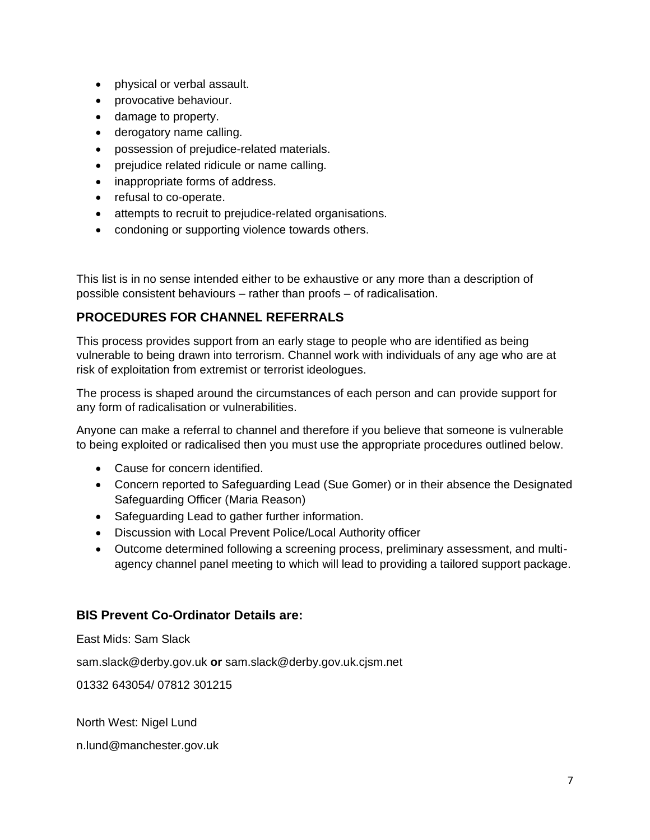- physical or verbal assault.
- provocative behaviour.
- damage to property.
- derogatory name calling.
- possession of prejudice-related materials.
- prejudice related ridicule or name calling.
- inappropriate forms of address.
- refusal to co-operate.
- attempts to recruit to prejudice-related organisations.
- condoning or supporting violence towards others.

This list is in no sense intended either to be exhaustive or any more than a description of possible consistent behaviours – rather than proofs – of radicalisation.

# **PROCEDURES FOR CHANNEL REFERRALS**

This process provides support from an early stage to people who are identified as being vulnerable to being drawn into terrorism. Channel work with individuals of any age who are at risk of exploitation from extremist or terrorist ideologues.

The process is shaped around the circumstances of each person and can provide support for any form of radicalisation or vulnerabilities.

Anyone can make a referral to channel and therefore if you believe that someone is vulnerable to being exploited or radicalised then you must use the appropriate procedures outlined below.

- Cause for concern identified.
- Concern reported to Safeguarding Lead (Sue Gomer) or in their absence the Designated Safeguarding Officer (Maria Reason)
- Safeguarding Lead to gather further information.
- Discussion with Local Prevent Police/Local Authority officer
- Outcome determined following a screening process, preliminary assessment, and multiagency channel panel meeting to which will lead to providing a tailored support package.

# **BIS Prevent Co-Ordinator Details are:**

East Mids: Sam Slack

sam.slack@derby.gov.uk **or** sam.slack@derby.gov.uk.cjsm.net

01332 643054/ 07812 301215

North West: Nigel Lund

n.lund@manchester.gov.uk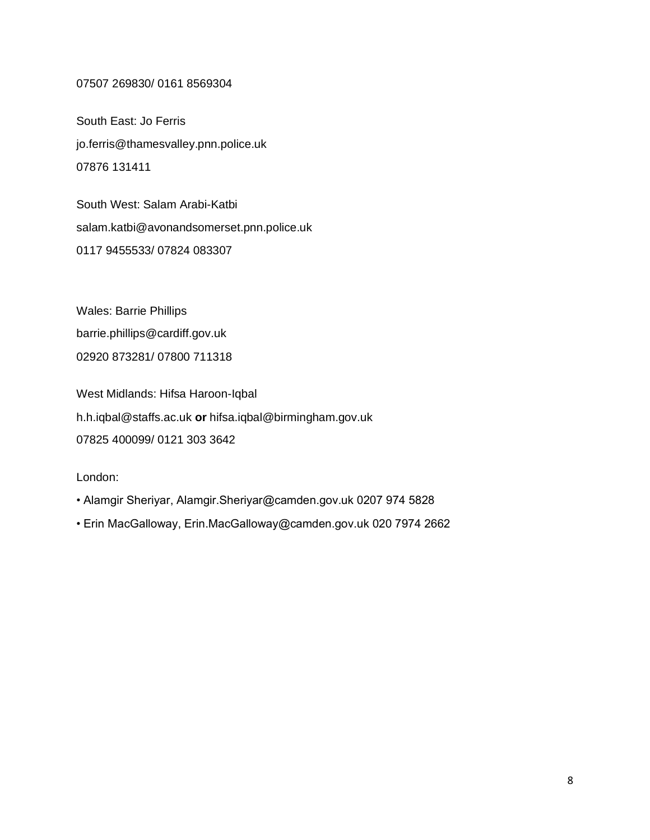#### 07507 269830/ 0161 8569304

South East: Jo Ferris jo.ferris@thamesvalley.pnn.police.uk 07876 131411

South West: Salam Arabi-Katbi salam.katbi@avonandsomerset.pnn.police.uk 0117 9455533/ 07824 083307

Wales: Barrie Phillips barrie.phillips@cardiff.gov.uk 02920 873281/ 07800 711318

West Midlands: Hifsa Haroon-Iqbal h.h.iqbal@staffs.ac.uk **or** hifsa.iqbal@birmingham.gov.uk 07825 400099/ 0121 303 3642

London:

- Alamgir Sheriyar, Alamgir.Sheriyar@camden.gov.uk 0207 974 5828
- Erin MacGalloway, Erin.MacGalloway@camden.gov.uk 020 7974 2662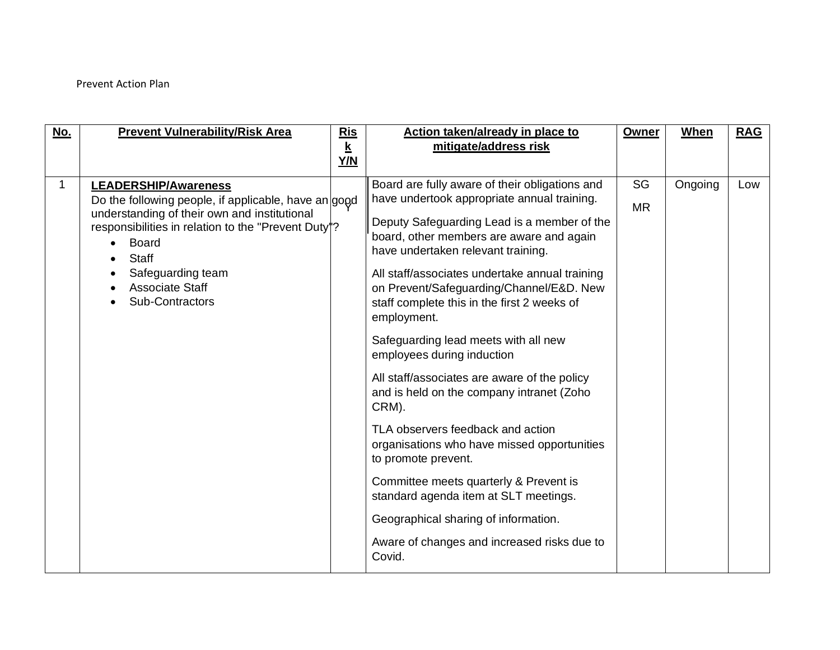# Prevent Action Plan

| <u>No.</u> | <b>Prevent Vulnerability/Risk Area</b>                                                                                                                                                                                                                                                             | <b>Ris</b><br>$\underline{\mathbf{k}}$<br>Y/N | Action taken/already in place to<br>mitigate/address risk                                                                                                                                                                                                                                                                                                                                                                                                                                                                                                                                                                                                                                                                                                                                                                                                             | Owner                  | <b>When</b> | <b>RAG</b> |
|------------|----------------------------------------------------------------------------------------------------------------------------------------------------------------------------------------------------------------------------------------------------------------------------------------------------|-----------------------------------------------|-----------------------------------------------------------------------------------------------------------------------------------------------------------------------------------------------------------------------------------------------------------------------------------------------------------------------------------------------------------------------------------------------------------------------------------------------------------------------------------------------------------------------------------------------------------------------------------------------------------------------------------------------------------------------------------------------------------------------------------------------------------------------------------------------------------------------------------------------------------------------|------------------------|-------------|------------|
| 1          | <b>LEADERSHIP/Awareness</b><br>Do the following people, if applicable, have an good<br>understanding of their own and institutional<br>responsibilities in relation to the "Prevent Duty"?<br><b>Board</b><br>$\bullet$<br><b>Staff</b><br>Safeguarding team<br>Associate Staff<br>Sub-Contractors |                                               | Board are fully aware of their obligations and<br>have undertook appropriate annual training.<br>Deputy Safeguarding Lead is a member of the<br>board, other members are aware and again<br>have undertaken relevant training.<br>All staff/associates undertake annual training<br>on Prevent/Safeguarding/Channel/E&D. New<br>staff complete this in the first 2 weeks of<br>employment.<br>Safeguarding lead meets with all new<br>employees during induction<br>All staff/associates are aware of the policy<br>and is held on the company intranet (Zoho<br>CRM).<br>TLA observers feedback and action<br>organisations who have missed opportunities<br>to promote prevent.<br>Committee meets quarterly & Prevent is<br>standard agenda item at SLT meetings.<br>Geographical sharing of information.<br>Aware of changes and increased risks due to<br>Covid. | <b>SG</b><br><b>MR</b> | Ongoing     | Low        |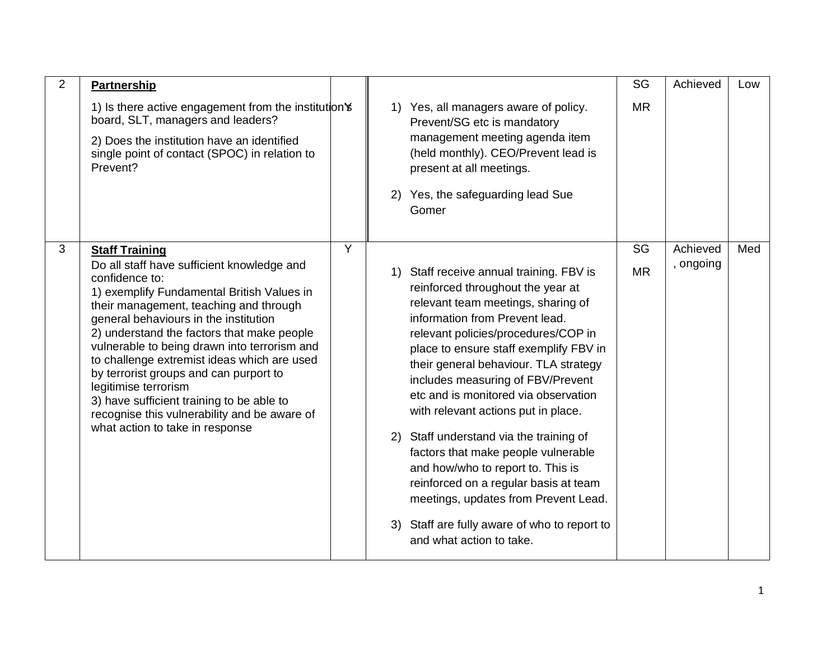| 2 | <b>Partnership</b>                                                                                                                                                                                                                                                                                                                                                                                                                                                                                                                           |   |    |                                                                                                                                                                                                                                                                                                                                                                                                                                                                                                                                                                                                                                                                                      | SG        | Achieved  | Low |
|---|----------------------------------------------------------------------------------------------------------------------------------------------------------------------------------------------------------------------------------------------------------------------------------------------------------------------------------------------------------------------------------------------------------------------------------------------------------------------------------------------------------------------------------------------|---|----|--------------------------------------------------------------------------------------------------------------------------------------------------------------------------------------------------------------------------------------------------------------------------------------------------------------------------------------------------------------------------------------------------------------------------------------------------------------------------------------------------------------------------------------------------------------------------------------------------------------------------------------------------------------------------------------|-----------|-----------|-----|
|   | 1) Is there active engagement from the institution's<br>board, SLT, managers and leaders?<br>2) Does the institution have an identified<br>single point of contact (SPOC) in relation to<br>Prevent?                                                                                                                                                                                                                                                                                                                                         |   |    | 1) Yes, all managers aware of policy.<br>Prevent/SG etc is mandatory<br>management meeting agenda item<br>(held monthly). CEO/Prevent lead is<br>present at all meetings.<br>2) Yes, the safeguarding lead Sue<br>Gomer                                                                                                                                                                                                                                                                                                                                                                                                                                                              | <b>MR</b> |           |     |
| 3 | <b>Staff Training</b>                                                                                                                                                                                                                                                                                                                                                                                                                                                                                                                        | Y |    |                                                                                                                                                                                                                                                                                                                                                                                                                                                                                                                                                                                                                                                                                      | SG        | Achieved  | Med |
|   | Do all staff have sufficient knowledge and<br>confidence to:<br>1) exemplify Fundamental British Values in<br>their management, teaching and through<br>general behaviours in the institution<br>2) understand the factors that make people<br>vulnerable to being drawn into terrorism and<br>to challenge extremist ideas which are used<br>by terrorist groups and can purport to<br>legitimise terrorism<br>3) have sufficient training to be able to<br>recognise this vulnerability and be aware of<br>what action to take in response |   | 1) | Staff receive annual training. FBV is<br>reinforced throughout the year at<br>relevant team meetings, sharing of<br>information from Prevent lead.<br>relevant policies/procedures/COP in<br>place to ensure staff exemplify FBV in<br>their general behaviour. TLA strategy<br>includes measuring of FBV/Prevent<br>etc and is monitored via observation<br>with relevant actions put in place.<br>2) Staff understand via the training of<br>factors that make people vulnerable<br>and how/who to report to. This is<br>reinforced on a regular basis at team<br>meetings, updates from Prevent Lead.<br>3) Staff are fully aware of who to report to<br>and what action to take. | <b>MR</b> | , ongoing |     |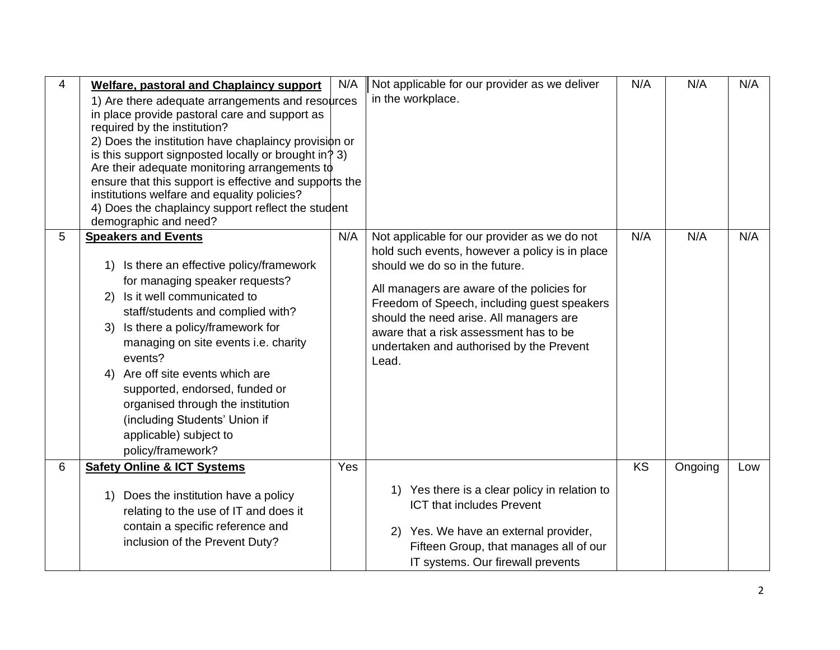| $\overline{4}$ | <b>Welfare, pastoral and Chaplaincy support</b><br>1) Are there adequate arrangements and resources<br>in place provide pastoral care and support as<br>required by the institution?<br>2) Does the institution have chaplaincy provision or<br>is this support signposted locally or brought in? 3)<br>Are their adequate monitoring arrangements to<br>ensure that this support is effective and supports the<br>institutions welfare and equality policies?<br>4) Does the chaplaincy support reflect the student<br>demographic and need? | N/A | Not applicable for our provider as we deliver<br>in the workplace.                                                                                                                                                                                                                                                                                                      | N/A       | N/A     | N/A |
|----------------|-----------------------------------------------------------------------------------------------------------------------------------------------------------------------------------------------------------------------------------------------------------------------------------------------------------------------------------------------------------------------------------------------------------------------------------------------------------------------------------------------------------------------------------------------|-----|-------------------------------------------------------------------------------------------------------------------------------------------------------------------------------------------------------------------------------------------------------------------------------------------------------------------------------------------------------------------------|-----------|---------|-----|
| 5              | <b>Speakers and Events</b><br>Is there an effective policy/framework<br>1)<br>for managing speaker requests?<br>Is it well communicated to<br>2)<br>staff/students and complied with?<br>Is there a policy/framework for<br>3)<br>managing on site events i.e. charity<br>events?<br>Are off site events which are<br>4)<br>supported, endorsed, funded or<br>organised through the institution<br>(including Students' Union if<br>applicable) subject to<br>policy/framework?                                                               | N/A | Not applicable for our provider as we do not<br>hold such events, however a policy is in place<br>should we do so in the future.<br>All managers are aware of the policies for<br>Freedom of Speech, including guest speakers<br>should the need arise. All managers are<br>aware that a risk assessment has to be<br>undertaken and authorised by the Prevent<br>Lead. | N/A       | N/A     | N/A |
| 6              | <b>Safety Online &amp; ICT Systems</b><br>Does the institution have a policy<br>1)<br>relating to the use of IT and does it<br>contain a specific reference and<br>inclusion of the Prevent Duty?                                                                                                                                                                                                                                                                                                                                             | Yes | 1) Yes there is a clear policy in relation to<br><b>ICT that includes Prevent</b><br>2) Yes. We have an external provider,<br>Fifteen Group, that manages all of our<br>IT systems. Our firewall prevents                                                                                                                                                               | <b>KS</b> | Ongoing | Low |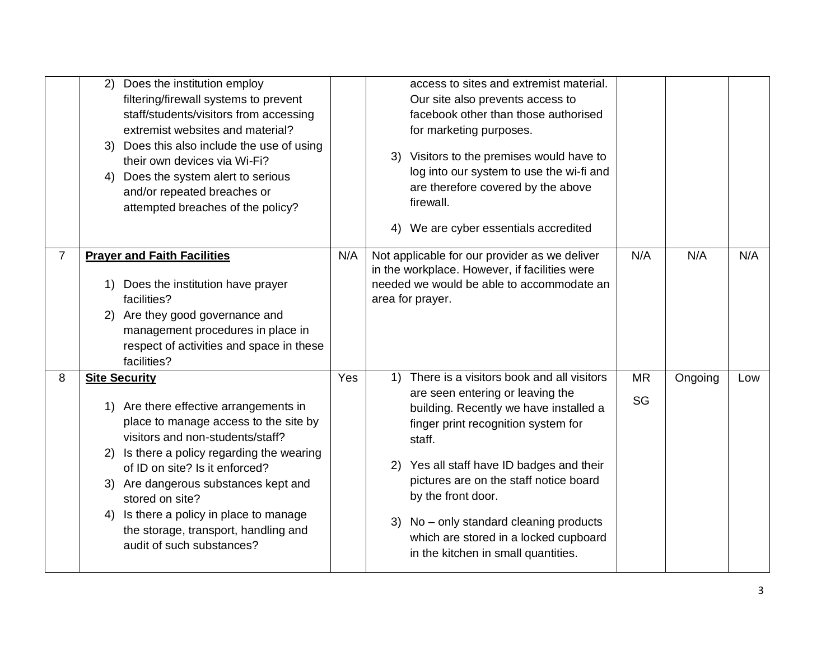|                | Does the institution employ<br>2)             |     | access to sites and extremist material.       |           |         |     |
|----------------|-----------------------------------------------|-----|-----------------------------------------------|-----------|---------|-----|
|                | filtering/firewall systems to prevent         |     | Our site also prevents access to              |           |         |     |
|                | staff/students/visitors from accessing        |     | facebook other than those authorised          |           |         |     |
|                | extremist websites and material?              |     | for marketing purposes.                       |           |         |     |
|                | 3) Does this also include the use of using    |     |                                               |           |         |     |
|                | their own devices via Wi-Fi?                  |     | 3) Visitors to the premises would have to     |           |         |     |
|                | Does the system alert to serious<br>4)        |     | log into our system to use the wi-fi and      |           |         |     |
|                | and/or repeated breaches or                   |     | are therefore covered by the above            |           |         |     |
|                | attempted breaches of the policy?             |     | firewall.                                     |           |         |     |
|                |                                               |     | We are cyber essentials accredited<br>4)      |           |         |     |
|                |                                               |     |                                               |           |         |     |
| $\overline{7}$ | <b>Prayer and Faith Facilities</b>            | N/A | Not applicable for our provider as we deliver | N/A       | N/A     | N/A |
|                |                                               |     | in the workplace. However, if facilities were |           |         |     |
|                | Does the institution have prayer<br>1)        |     | needed we would be able to accommodate an     |           |         |     |
|                | facilities?                                   |     | area for prayer.                              |           |         |     |
|                | 2) Are they good governance and               |     |                                               |           |         |     |
|                | management procedures in place in             |     |                                               |           |         |     |
|                | respect of activities and space in these      |     |                                               |           |         |     |
|                | facilities?                                   |     |                                               |           |         |     |
| 8              | <b>Site Security</b>                          | Yes | 1) There is a visitors book and all visitors  | <b>MR</b> | Ongoing | Low |
|                |                                               |     | are seen entering or leaving the              |           |         |     |
|                | 1) Are there effective arrangements in        |     | building. Recently we have installed a        | SG        |         |     |
|                | place to manage access to the site by         |     | finger print recognition system for           |           |         |     |
|                | visitors and non-students/staff?              |     | staff.                                        |           |         |     |
|                | Is there a policy regarding the wearing<br>2) |     |                                               |           |         |     |
|                | of ID on site? Is it enforced?                |     | 2) Yes all staff have ID badges and their     |           |         |     |
|                | 3) Are dangerous substances kept and          |     | pictures are on the staff notice board        |           |         |     |
|                | stored on site?                               |     | by the front door.                            |           |         |     |
|                | Is there a policy in place to manage<br>4)    |     |                                               |           |         |     |
|                | the storage, transport, handling and          |     | No – only standard cleaning products<br>3)    |           |         |     |
|                | audit of such substances?                     |     | which are stored in a locked cupboard         |           |         |     |
|                |                                               |     | in the kitchen in small quantities.           |           |         |     |
|                |                                               |     |                                               |           |         |     |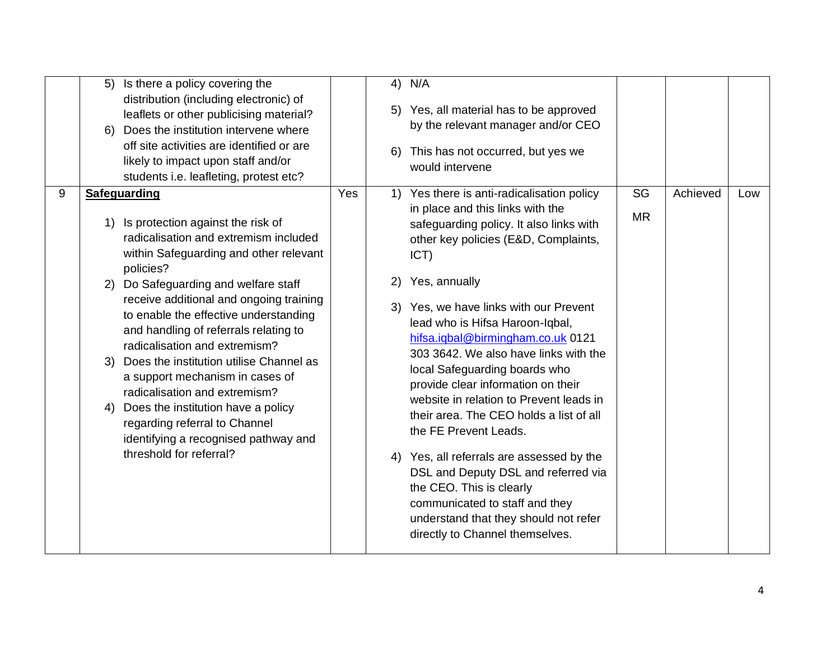|   | Is there a policy covering the<br>5)<br>distribution (including electronic) of<br>leaflets or other publicising material?<br>Does the institution intervene where<br>6)<br>off site activities are identified or are<br>likely to impact upon staff and/or                                                                                                                                                                                                                                                                                                                                                                                                                          |     | 6) | 4) N/A<br>5) Yes, all material has to be approved<br>by the relevant manager and/or CEO<br>This has not occurred, but yes we<br>would intervene                                                                                                                                                                                                                                                                                                                                                                                                                                                                                                                                                                                                                                       |                 |          |     |
|---|-------------------------------------------------------------------------------------------------------------------------------------------------------------------------------------------------------------------------------------------------------------------------------------------------------------------------------------------------------------------------------------------------------------------------------------------------------------------------------------------------------------------------------------------------------------------------------------------------------------------------------------------------------------------------------------|-----|----|---------------------------------------------------------------------------------------------------------------------------------------------------------------------------------------------------------------------------------------------------------------------------------------------------------------------------------------------------------------------------------------------------------------------------------------------------------------------------------------------------------------------------------------------------------------------------------------------------------------------------------------------------------------------------------------------------------------------------------------------------------------------------------------|-----------------|----------|-----|
| 9 | students i.e. leafleting, protest etc?<br><b>Safeguarding</b><br>Is protection against the risk of<br>1)<br>radicalisation and extremism included<br>within Safeguarding and other relevant<br>policies?<br>2) Do Safeguarding and welfare staff<br>receive additional and ongoing training<br>to enable the effective understanding<br>and handling of referrals relating to<br>radicalisation and extremism?<br>Does the institution utilise Channel as<br>3)<br>a support mechanism in cases of<br>radicalisation and extremism?<br>Does the institution have a policy<br>4)<br>regarding referral to Channel<br>identifying a recognised pathway and<br>threshold for referral? | Yes | 2) | 1) Yes there is anti-radicalisation policy<br>in place and this links with the<br>safeguarding policy. It also links with<br>other key policies (E&D, Complaints,<br>$\overline{ICT}$<br>Yes, annually<br>3) Yes, we have links with our Prevent<br>lead who is Hifsa Haroon-Iqbal,<br>hifsa.iqbal@birmingham.co.uk 0121<br>303 3642. We also have links with the<br>local Safeguarding boards who<br>provide clear information on their<br>website in relation to Prevent leads in<br>their area. The CEO holds a list of all<br>the FE Prevent Leads.<br>4) Yes, all referrals are assessed by the<br>DSL and Deputy DSL and referred via<br>the CEO. This is clearly<br>communicated to staff and they<br>understand that they should not refer<br>directly to Channel themselves. | SG<br><b>MR</b> | Achieved | Low |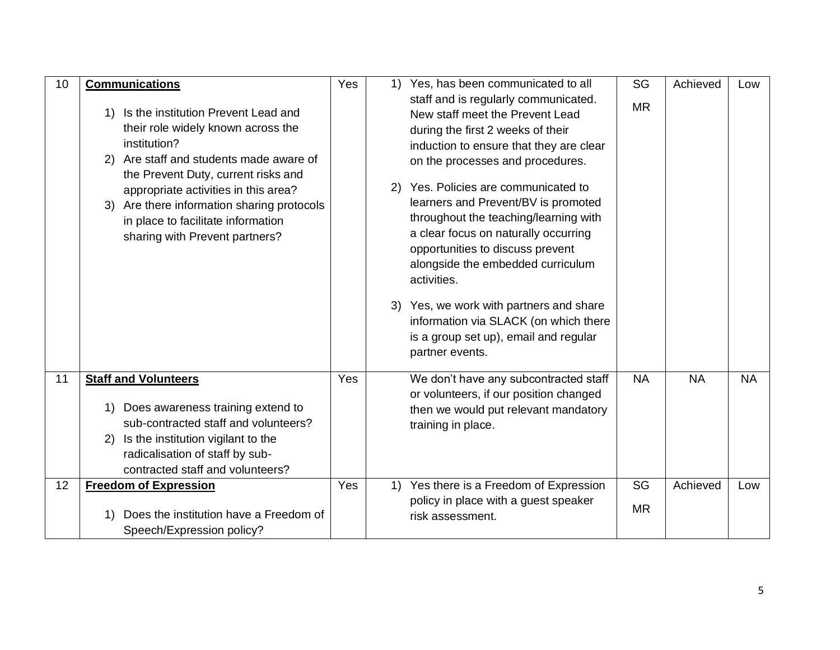| 10 | <b>Communications</b>                                                                                                                                                                                                                                                                                                                              | Yes | 1) | Yes, has been communicated to all                                                                                                                                                                                                                                                                                                                                                                                                                                                                                                                                                                   | SG        | Achieved  | Low       |
|----|----------------------------------------------------------------------------------------------------------------------------------------------------------------------------------------------------------------------------------------------------------------------------------------------------------------------------------------------------|-----|----|-----------------------------------------------------------------------------------------------------------------------------------------------------------------------------------------------------------------------------------------------------------------------------------------------------------------------------------------------------------------------------------------------------------------------------------------------------------------------------------------------------------------------------------------------------------------------------------------------------|-----------|-----------|-----------|
|    | Is the institution Prevent Lead and<br>1)<br>their role widely known across the<br>institution?<br>2) Are staff and students made aware of<br>the Prevent Duty, current risks and<br>appropriate activities in this area?<br>Are there information sharing protocols<br>3)<br>in place to facilitate information<br>sharing with Prevent partners? |     |    | staff and is regularly communicated.<br>New staff meet the Prevent Lead<br>during the first 2 weeks of their<br>induction to ensure that they are clear<br>on the processes and procedures.<br>2) Yes. Policies are communicated to<br>learners and Prevent/BV is promoted<br>throughout the teaching/learning with<br>a clear focus on naturally occurring<br>opportunities to discuss prevent<br>alongside the embedded curriculum<br>activities.<br>3) Yes, we work with partners and share<br>information via SLACK (on which there<br>is a group set up), email and regular<br>partner events. | <b>MR</b> |           |           |
| 11 | <b>Staff and Volunteers</b><br>Does awareness training extend to<br>1)<br>sub-contracted staff and volunteers?<br>2) Is the institution vigilant to the<br>radicalisation of staff by sub-<br>contracted staff and volunteers?                                                                                                                     | Yes |    | We don't have any subcontracted staff<br>or volunteers, if our position changed<br>then we would put relevant mandatory<br>training in place.                                                                                                                                                                                                                                                                                                                                                                                                                                                       | <b>NA</b> | <b>NA</b> | <b>NA</b> |
| 12 | <b>Freedom of Expression</b>                                                                                                                                                                                                                                                                                                                       | Yes | 1) | Yes there is a Freedom of Expression                                                                                                                                                                                                                                                                                                                                                                                                                                                                                                                                                                | SG        | Achieved  | Low       |
|    | Does the institution have a Freedom of<br>Speech/Expression policy?                                                                                                                                                                                                                                                                                |     |    | policy in place with a guest speaker<br>risk assessment.                                                                                                                                                                                                                                                                                                                                                                                                                                                                                                                                            | <b>MR</b> |           |           |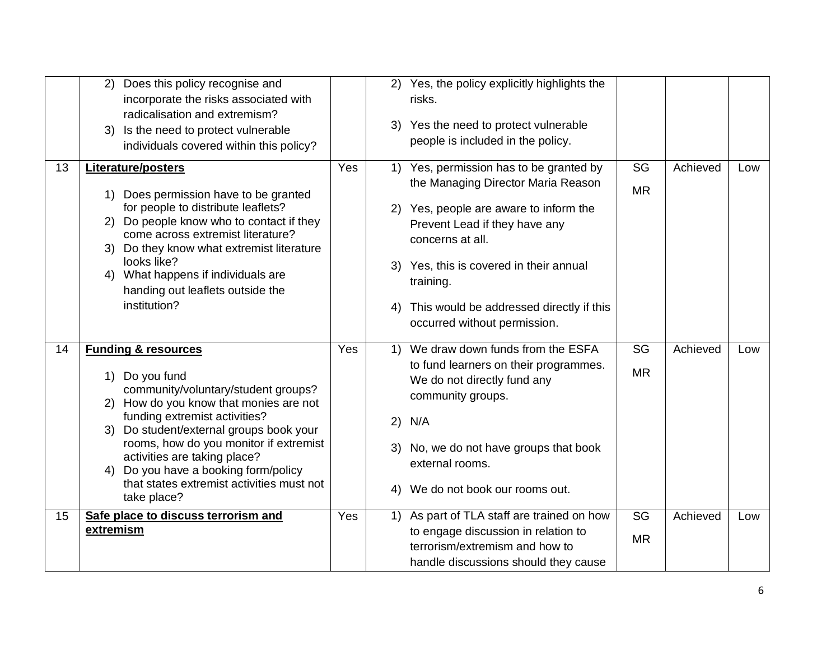|    | Does this policy recognise and<br>(2)<br>incorporate the risks associated with<br>radicalisation and extremism?<br>Is the need to protect vulnerable<br>3)<br>individuals covered within this policy?                                                                                                                                                                                       |     | 2)<br>3)                                                         | Yes, the policy explicitly highlights the<br>risks.<br>Yes the need to protect vulnerable<br>people is included in the policy.                                                                                                                                                                             |                 |          |     |
|----|---------------------------------------------------------------------------------------------------------------------------------------------------------------------------------------------------------------------------------------------------------------------------------------------------------------------------------------------------------------------------------------------|-----|------------------------------------------------------------------|------------------------------------------------------------------------------------------------------------------------------------------------------------------------------------------------------------------------------------------------------------------------------------------------------------|-----------------|----------|-----|
| 13 | Literature/posters<br>1) Does permission have to be granted<br>for people to distribute leaflets?<br>2) Do people know who to contact if they<br>come across extremist literature?<br>3) Do they know what extremist literature<br>looks like?<br>4) What happens if individuals are<br>handing out leaflets outside the<br>institution?                                                    | Yes | 1)<br>3)<br>4)                                                   | Yes, permission has to be granted by<br>the Managing Director Maria Reason<br>2) Yes, people are aware to inform the<br>Prevent Lead if they have any<br>concerns at all.<br>Yes, this is covered in their annual<br>training.<br>This would be addressed directly if this<br>occurred without permission. | SG<br><b>MR</b> | Achieved | Low |
| 14 | <b>Funding &amp; resources</b><br>1) Do you fund<br>community/voluntary/student groups?<br>2) How do you know that monies are not<br>funding extremist activities?<br>3) Do student/external groups book your<br>rooms, how do you monitor if extremist<br>activities are taking place?<br>4) Do you have a booking form/policy<br>that states extremist activities must not<br>take place? | Yes | $\left( \begin{matrix} 1 \end{matrix} \right)$<br>2)<br>3)<br>4) | We draw down funds from the ESFA<br>to fund learners on their programmes.<br>We do not directly fund any<br>community groups.<br>N/A<br>No, we do not have groups that book<br>external rooms.<br>We do not book our rooms out.                                                                            | SG<br><b>MR</b> | Achieved | Low |
| 15 | Safe place to discuss terrorism and<br>extremism                                                                                                                                                                                                                                                                                                                                            | Yes | 1)                                                               | As part of TLA staff are trained on how<br>to engage discussion in relation to<br>terrorism/extremism and how to<br>handle discussions should they cause                                                                                                                                                   | SG<br><b>MR</b> | Achieved | Low |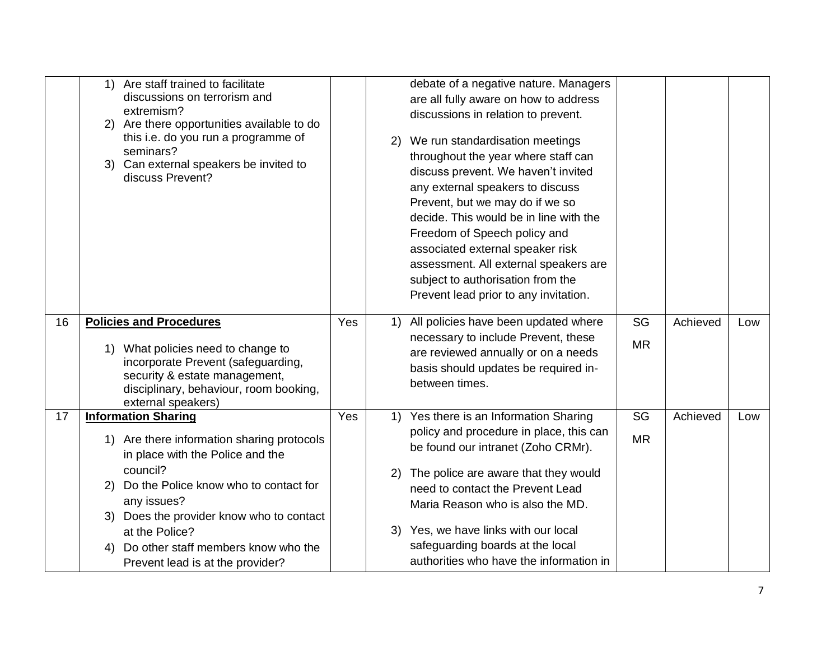|    | Are staff trained to facilitate<br>1)<br>discussions on terrorism and<br>extremism?<br>Are there opportunities available to do<br>2)<br>this i.e. do you run a programme of<br>seminars?<br>3) Can external speakers be invited to<br>discuss Prevent?                                                                                   |     | 2)             | debate of a negative nature. Managers<br>are all fully aware on how to address<br>discussions in relation to prevent.<br>We run standardisation meetings<br>throughout the year where staff can<br>discuss prevent. We haven't invited<br>any external speakers to discuss<br>Prevent, but we may do if we so<br>decide. This would be in line with the<br>Freedom of Speech policy and<br>associated external speaker risk<br>assessment. All external speakers are<br>subject to authorisation from the<br>Prevent lead prior to any invitation. |                 |          |     |
|----|------------------------------------------------------------------------------------------------------------------------------------------------------------------------------------------------------------------------------------------------------------------------------------------------------------------------------------------|-----|----------------|----------------------------------------------------------------------------------------------------------------------------------------------------------------------------------------------------------------------------------------------------------------------------------------------------------------------------------------------------------------------------------------------------------------------------------------------------------------------------------------------------------------------------------------------------|-----------------|----------|-----|
| 16 | <b>Policies and Procedures</b><br>What policies need to change to<br>1)<br>incorporate Prevent (safeguarding,<br>security & estate management,<br>disciplinary, behaviour, room booking,<br>external speakers)                                                                                                                           | Yes | 1)             | All policies have been updated where<br>necessary to include Prevent, these<br>are reviewed annually or on a needs<br>basis should updates be required in-<br>between times.                                                                                                                                                                                                                                                                                                                                                                       | SG<br><b>MR</b> | Achieved | Low |
| 17 | <b>Information Sharing</b><br>1) Are there information sharing protocols<br>in place with the Police and the<br>council?<br>Do the Police know who to contact for<br>2)<br>any issues?<br>Does the provider know who to contact<br>3)<br>at the Police?<br>Do other staff members know who the<br>4)<br>Prevent lead is at the provider? | Yes | 1)<br>2)<br>3) | Yes there is an Information Sharing<br>policy and procedure in place, this can<br>be found our intranet (Zoho CRMr).<br>The police are aware that they would<br>need to contact the Prevent Lead<br>Maria Reason who is also the MD.<br>Yes, we have links with our local<br>safeguarding boards at the local<br>authorities who have the information in                                                                                                                                                                                           | SG<br><b>MR</b> | Achieved | Low |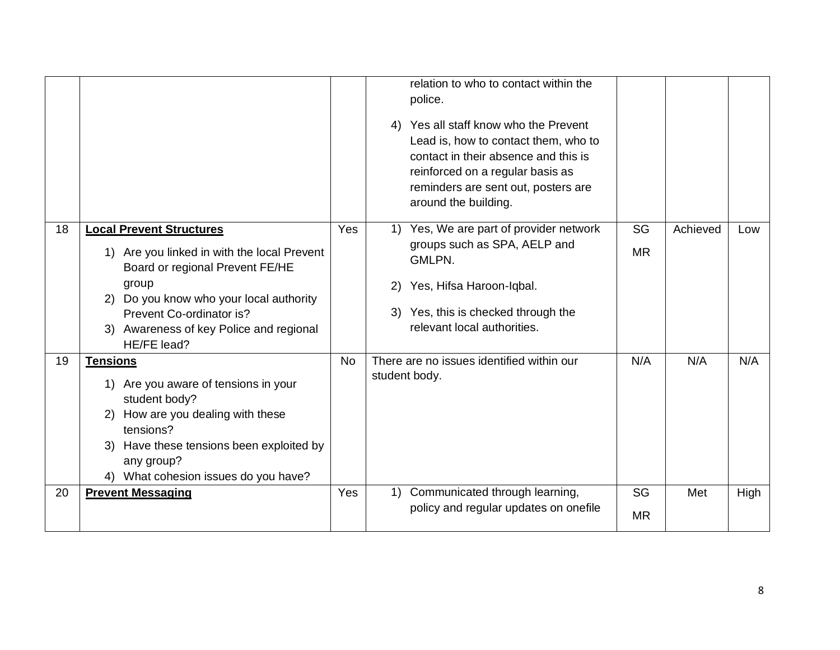|    |                                                                                                                                                                                                                                                             |            | relation to who to contact within the<br>police.<br>Yes all staff know who the Prevent<br>4)<br>Lead is, how to contact them, who to<br>contact in their absence and this is<br>reinforced on a regular basis as<br>reminders are sent out, posters are<br>around the building. |                 |          |      |
|----|-------------------------------------------------------------------------------------------------------------------------------------------------------------------------------------------------------------------------------------------------------------|------------|---------------------------------------------------------------------------------------------------------------------------------------------------------------------------------------------------------------------------------------------------------------------------------|-----------------|----------|------|
| 18 | <b>Local Prevent Structures</b><br>1) Are you linked in with the local Prevent<br>Board or regional Prevent FE/HE<br>group<br>2) Do you know who your local authority<br>Prevent Co-ordinator is?<br>3) Awareness of key Police and regional<br>HE/FE lead? | <b>Yes</b> | Yes, We are part of provider network<br>1)<br>groups such as SPA, AELP and<br>GMLPN.<br>Yes, Hifsa Haroon-Iqbal.<br>2)<br>Yes, this is checked through the<br>3)<br>relevant local authorities.                                                                                 | SG<br><b>MR</b> | Achieved | Low  |
| 19 | <b>Tensions</b><br>1) Are you aware of tensions in your<br>student body?<br>2) How are you dealing with these<br>tensions?<br>Have these tensions been exploited by<br>3)<br>any group?<br>4) What cohesion issues do you have?                             | <b>No</b>  | There are no issues identified within our<br>student body.                                                                                                                                                                                                                      | N/A             | N/A      | N/A  |
| 20 | <b>Prevent Messaging</b>                                                                                                                                                                                                                                    | Yes        | Communicated through learning,<br>1)<br>policy and regular updates on onefile                                                                                                                                                                                                   | SG<br><b>MR</b> | Met      | High |